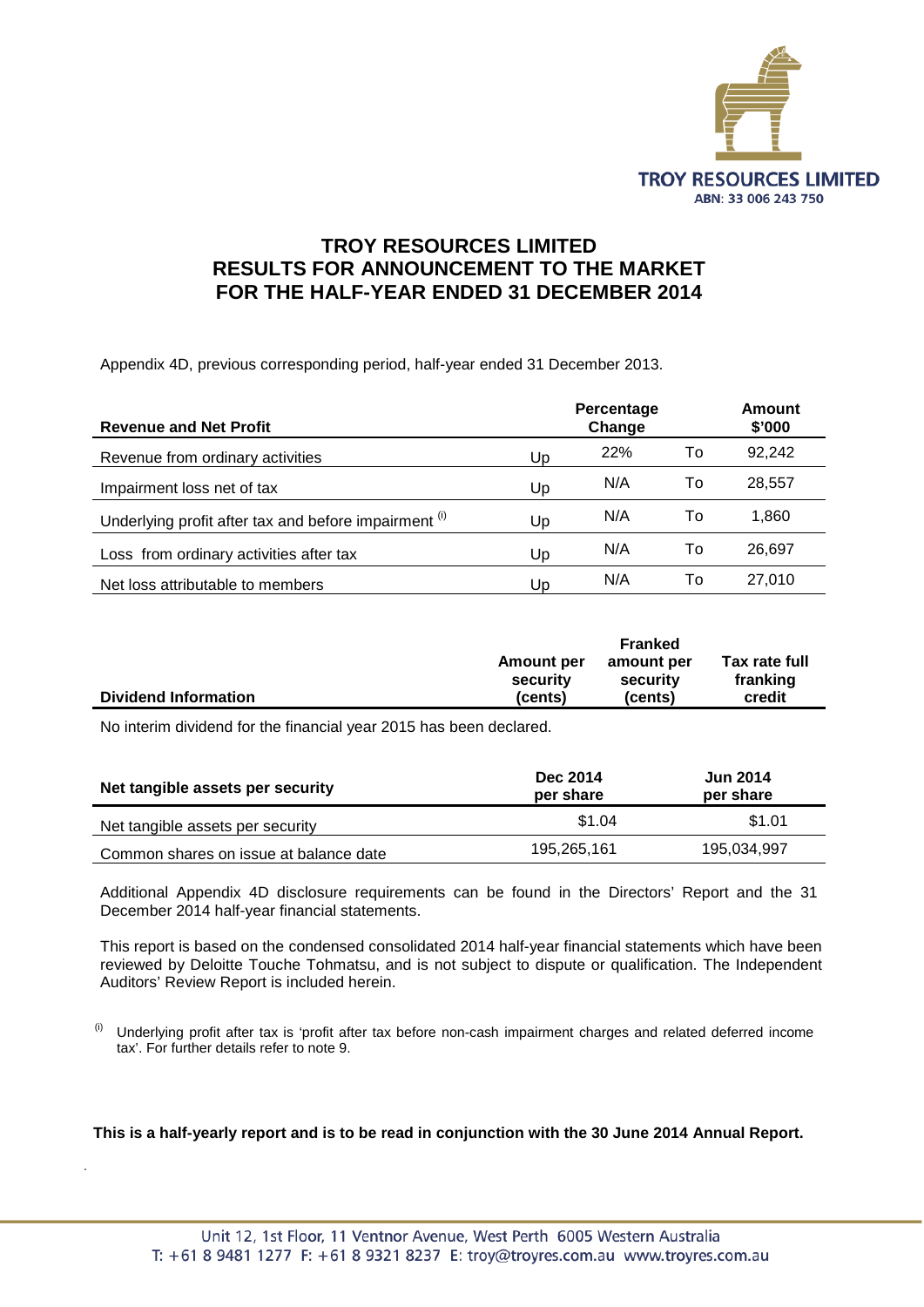

# **TROY RESOURCES LIMITED RESULTS FOR ANNOUNCEMENT TO THE MARKET FOR THE HALF-YEAR ENDED 31 DECEMBER 2014**

Appendix 4D, previous corresponding period, half-year ended 31 December 2013.

| <b>Revenue and Net Profit</b>                         |    | Percentage<br>Change |    | Amount<br>\$'000 |
|-------------------------------------------------------|----|----------------------|----|------------------|
| Revenue from ordinary activities                      | Up | <b>22%</b>           | To | 92,242           |
| Impairment loss net of tax                            | Up | N/A                  | To | 28.557           |
| Underlying profit after tax and before impairment (i) | Up | N/A                  | To | 1,860            |
| Loss from ordinary activities after tax               | Up | N/A                  | To | 26,697           |
| Net loss attributable to members                      | Up | N/A                  | To | 27,010           |

|                             | <b>Franked</b>    |            |               |
|-----------------------------|-------------------|------------|---------------|
|                             | <b>Amount per</b> | amount per | Tax rate full |
|                             | security          | security   | franking      |
| <b>Dividend Information</b> | (cents)           | (cents)    | credit        |

No interim dividend for the financial year 2015 has been declared.

.

| Net tangible assets per security       | <b>Dec 2014</b><br>per share | <b>Jun 2014</b><br>per share |
|----------------------------------------|------------------------------|------------------------------|
| Net tangible assets per security       | \$1.04                       | \$1.01                       |
| Common shares on issue at balance date | 195,265,161                  | 195,034,997                  |

Additional Appendix 4D disclosure requirements can be found in the Directors' Report and the 31 December 2014 half-year financial statements.

This report is based on the condensed consolidated 2014 half-year financial statements which have been reviewed by Deloitte Touche Tohmatsu, and is not subject to dispute or qualification. The Independent Auditors' Review Report is included herein.

 $<sup>(i)</sup>$  Underlying profit after tax is 'profit after tax before non-cash impairment charges and related deferred income</sup> tax'. For further details refer to note 9.

**This is a half-yearly report and is to be read in conjunction with the 30 June 2014 Annual Report.**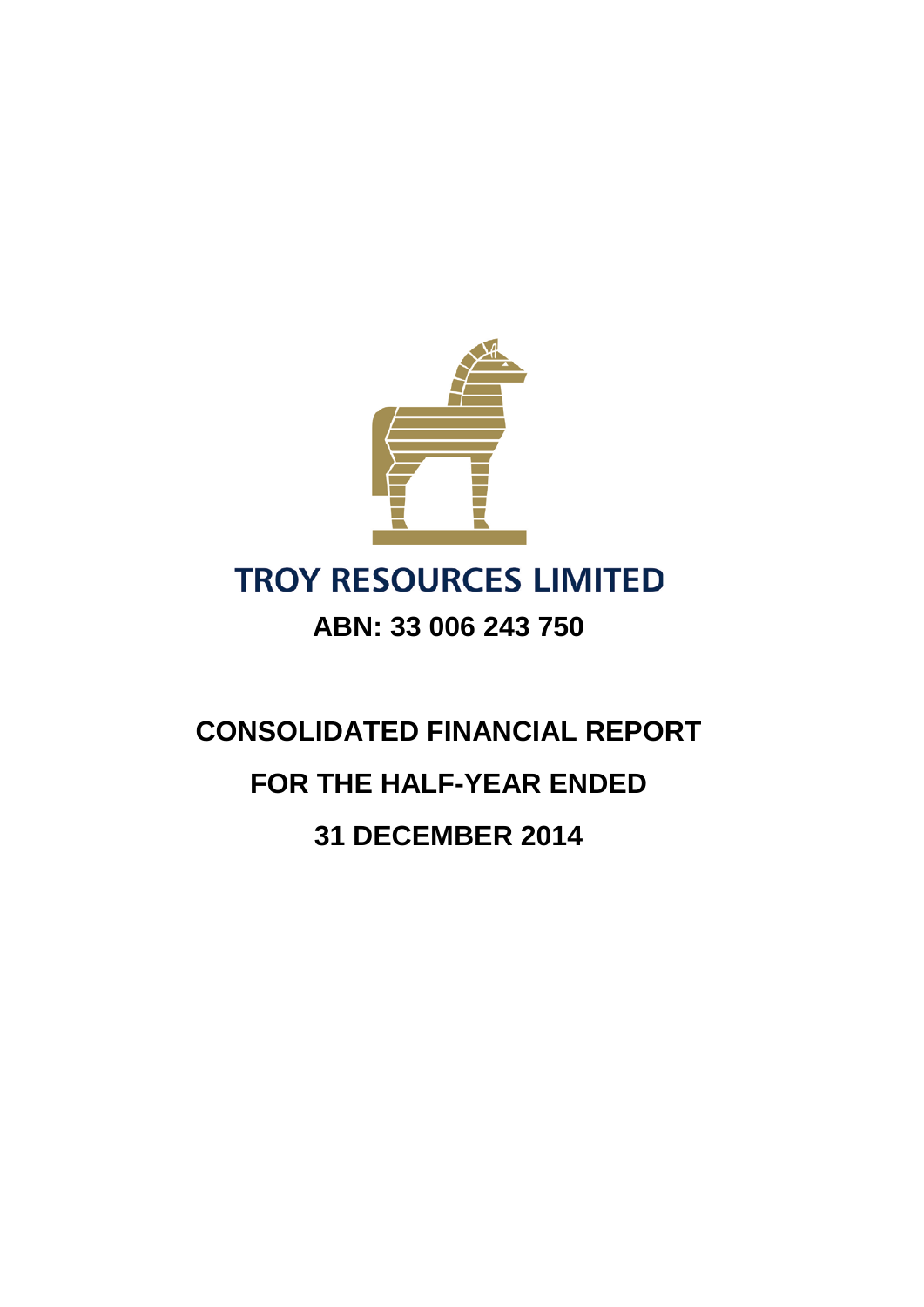

# **TROY RESOURCES LIMITED**

# **ABN: 33 006 243 750**

# **CONSOLIDATED FINANCIAL REPORT FOR THE HALF-YEAR ENDED 31 DECEMBER 2014**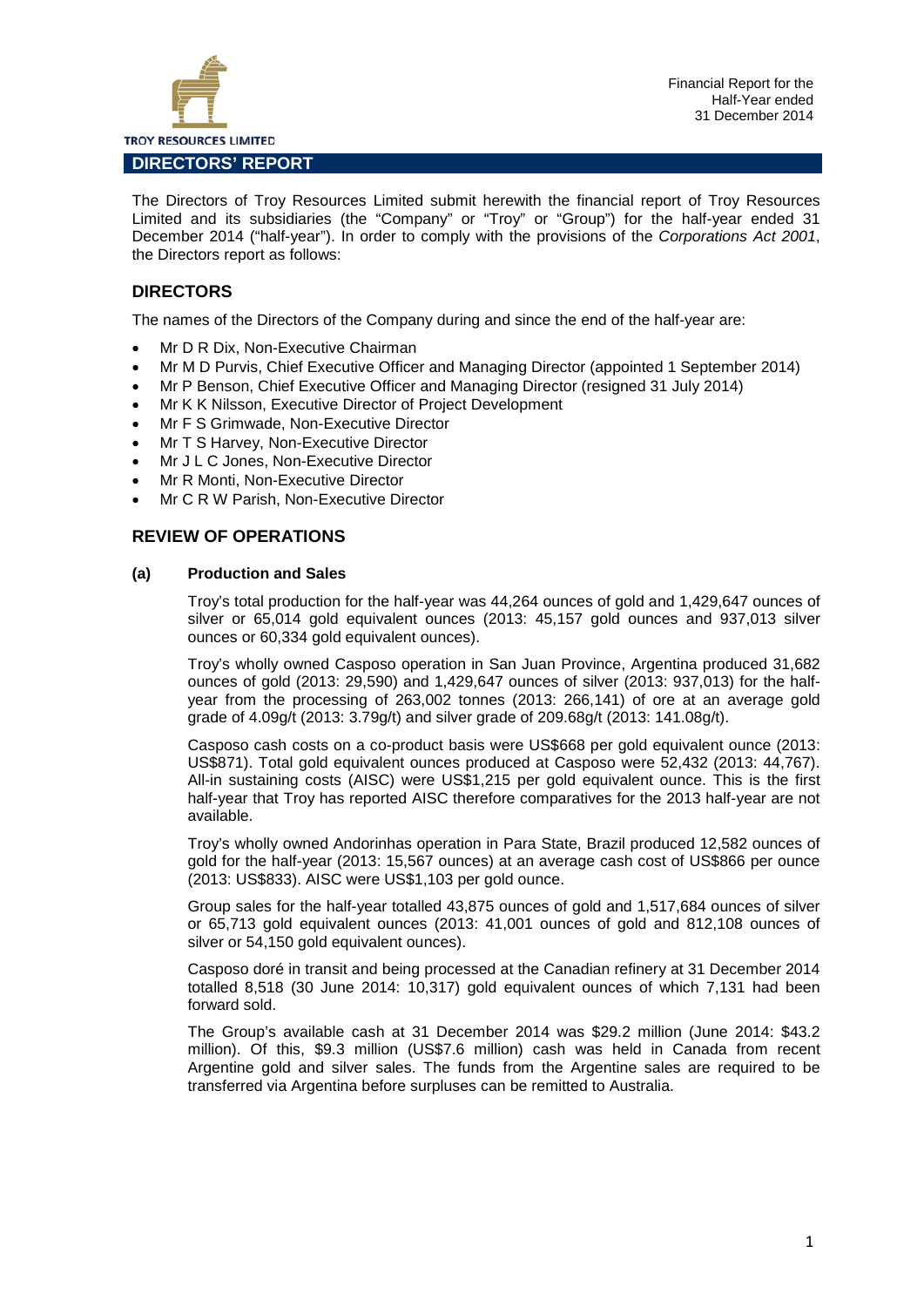

The Directors of Troy Resources Limited submit herewith the financial report of Troy Resources Limited and its subsidiaries (the "Company" or "Troy" or "Group") for the half-year ended 31 December 2014 ("half-year"). In order to comply with the provisions of the *Corporations Act 2001*, the Directors report as follows:

# **DIRECTORS**

The names of the Directors of the Company during and since the end of the half-year are:

- Mr D R Dix, Non-Executive Chairman
- Mr M D Purvis, Chief Executive Officer and Managing Director (appointed 1 September 2014)
- Mr P Benson, Chief Executive Officer and Managing Director (resigned 31 July 2014)
- Mr K K Nilsson, Executive Director of Project Development
- Mr F S Grimwade, Non-Executive Director
- Mr T S Harvey, Non-Executive Director
- Mr J L C Jones, Non-Executive Director
- Mr R Monti, Non-Executive Director
- Mr C R W Parish, Non-Executive Director

# **REVIEW OF OPERATIONS**

#### **(a) Production and Sales**

Troy's total production for the half-year was 44,264 ounces of gold and 1,429,647 ounces of silver or 65,014 gold equivalent ounces (2013: 45,157 gold ounces and 937,013 silver ounces or 60,334 gold equivalent ounces).

Troy's wholly owned Casposo operation in San Juan Province, Argentina produced 31,682 ounces of gold (2013: 29,590) and 1,429,647 ounces of silver (2013: 937,013) for the halfyear from the processing of 263,002 tonnes (2013: 266,141) of ore at an average gold grade of 4.09g/t (2013: 3.79g/t) and silver grade of 209.68g/t (2013: 141.08g/t).

Casposo cash costs on a co-product basis were US\$668 per gold equivalent ounce (2013: US\$871). Total gold equivalent ounces produced at Casposo were 52,432 (2013: 44,767). All-in sustaining costs (AISC) were US\$1,215 per gold equivalent ounce. This is the first half-year that Troy has reported AISC therefore comparatives for the 2013 half-year are not available.

Troy's wholly owned Andorinhas operation in Para State, Brazil produced 12,582 ounces of gold for the half-year (2013: 15,567 ounces) at an average cash cost of US\$866 per ounce (2013: US\$833). AISC were US\$1,103 per gold ounce.

Group sales for the half-year totalled 43,875 ounces of gold and 1,517,684 ounces of silver or 65,713 gold equivalent ounces (2013: 41,001 ounces of gold and 812,108 ounces of silver or 54,150 gold equivalent ounces).

Casposo doré in transit and being processed at the Canadian refinery at 31 December 2014 totalled 8,518 (30 June 2014: 10,317) gold equivalent ounces of which 7,131 had been forward sold.

The Group's available cash at 31 December 2014 was \$29.2 million (June 2014: \$43.2 million). Of this, \$9.3 million (US\$7.6 million) cash was held in Canada from recent Argentine gold and silver sales. The funds from the Argentine sales are required to be transferred via Argentina before surpluses can be remitted to Australia.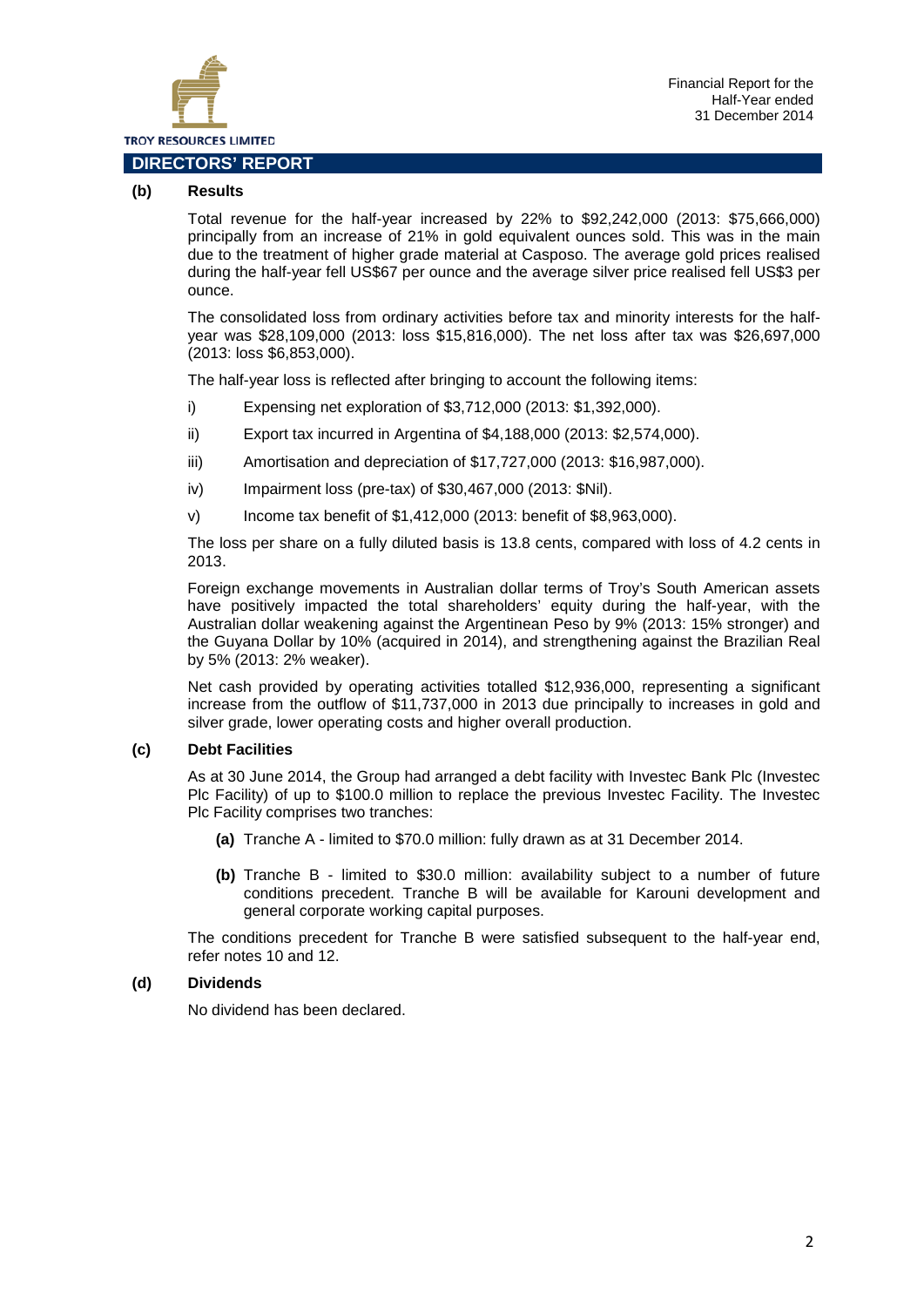

## **(b) Results**

Total revenue for the half-year increased by 22% to \$92,242,000 (2013: \$75,666,000) principally from an increase of 21% in gold equivalent ounces sold. This was in the main due to the treatment of higher grade material at Casposo. The average gold prices realised during the half-year fell US\$67 per ounce and the average silver price realised fell US\$3 per ounce.

The consolidated loss from ordinary activities before tax and minority interests for the halfyear was \$28,109,000 (2013: loss \$15,816,000). The net loss after tax was \$26,697,000 (2013: loss \$6,853,000).

The half-year loss is reflected after bringing to account the following items:

- i) Expensing net exploration of \$3,712,000 (2013: \$1,392,000).
- ii) Export tax incurred in Argentina of \$4,188,000 (2013: \$2,574,000).
- iii) Amortisation and depreciation of \$17,727,000 (2013: \$16,987,000).
- iv) Impairment loss (pre-tax) of \$30,467,000 (2013: \$Nil).
- v) Income tax benefit of \$1,412,000 (2013: benefit of \$8,963,000).

The loss per share on a fully diluted basis is 13.8 cents, compared with loss of 4.2 cents in 2013.

Foreign exchange movements in Australian dollar terms of Troy's South American assets have positively impacted the total shareholders' equity during the half-year, with the Australian dollar weakening against the Argentinean Peso by 9% (2013: 15% stronger) and the Guyana Dollar by 10% (acquired in 2014), and strengthening against the Brazilian Real by 5% (2013: 2% weaker).

Net cash provided by operating activities totalled \$12,936,000, representing a significant increase from the outflow of \$11,737,000 in 2013 due principally to increases in gold and silver grade, lower operating costs and higher overall production.

# **(c) Debt Facilities**

As at 30 June 2014, the Group had arranged a debt facility with Investec Bank Plc (Investec Plc Facility) of up to \$100.0 million to replace the previous Investec Facility. The Investec Plc Facility comprises two tranches:

- **(a)** Tranche A limited to \$70.0 million: fully drawn as at 31 December 2014.
- **(b)** Tranche B limited to \$30.0 million: availability subject to a number of future conditions precedent. Tranche B will be available for Karouni development and general corporate working capital purposes.

The conditions precedent for Tranche B were satisfied subsequent to the half-year end, refer notes 10 and 12.

# **(d) Dividends**

No dividend has been declared.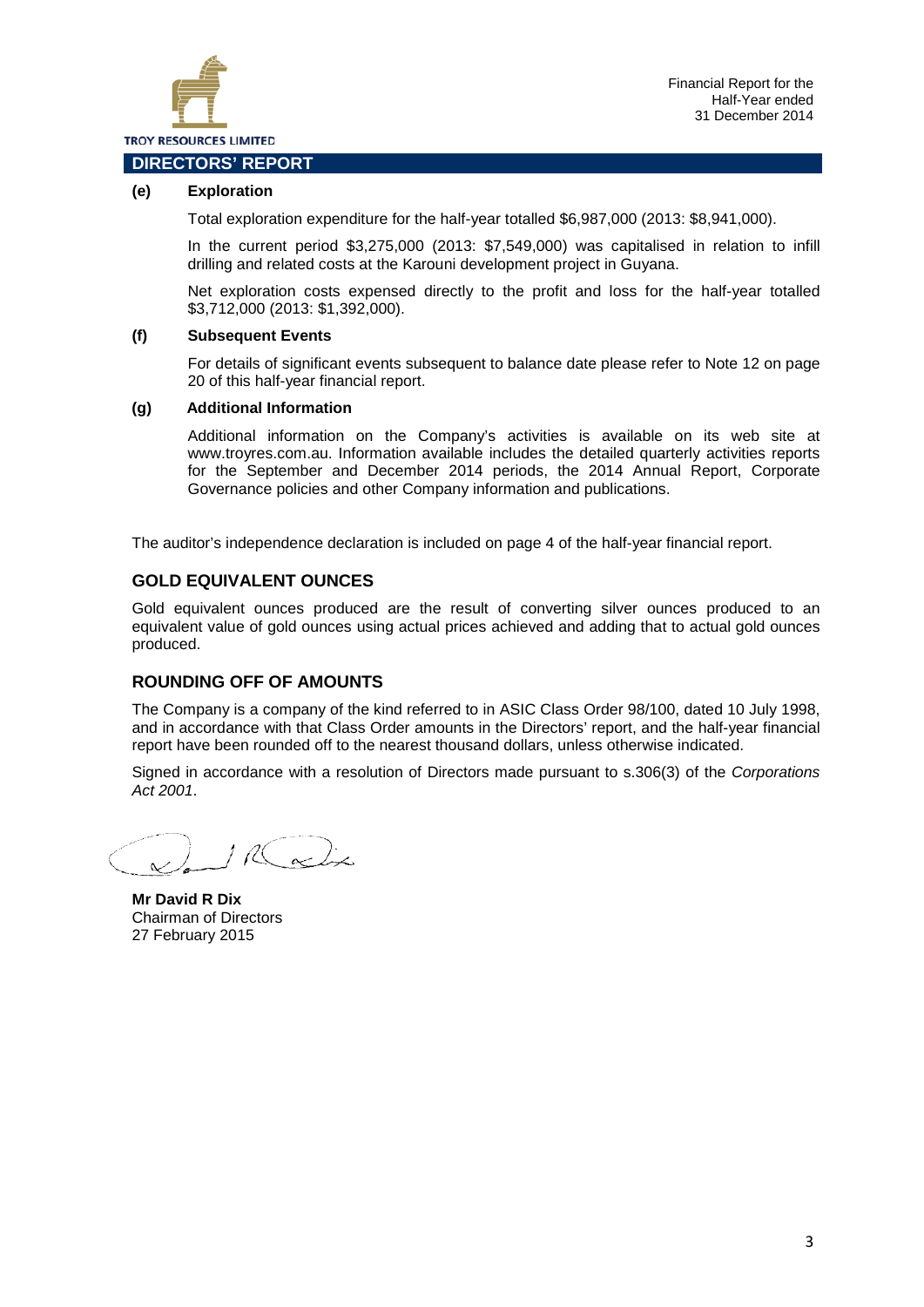

# **(e) Exploration**

Total exploration expenditure for the half-year totalled \$6,987,000 (2013: \$8,941,000).

In the current period \$3,275,000 (2013: \$7,549,000) was capitalised in relation to infill drilling and related costs at the Karouni development project in Guyana.

Net exploration costs expensed directly to the profit and loss for the half-year totalled \$3,712,000 (2013: \$1,392,000).

#### **(f) Subsequent Events**

For details of significant events subsequent to balance date please refer to Note 12 on page 20 of this half-year financial report.

#### **(g) Additional Information**

Additional information on the Company's activities is available on its web site at www.troyres.com.au. Information available includes the detailed quarterly activities reports for the September and December 2014 periods, the 2014 Annual Report, Corporate Governance policies and other Company information and publications.

The auditor's independence declaration is included on page 4 of the half-year financial report.

## **GOLD EQUIVALENT OUNCES**

Gold equivalent ounces produced are the result of converting silver ounces produced to an equivalent value of gold ounces using actual prices achieved and adding that to actual gold ounces produced.

# **ROUNDING OFF OF AMOUNTS**

The Company is a company of the kind referred to in ASIC Class Order 98/100, dated 10 July 1998, and in accordance with that Class Order amounts in the Directors' report, and the half-year financial report have been rounded off to the nearest thousand dollars, unless otherwise indicated.

Signed in accordance with a resolution of Directors made pursuant to s.306(3) of the *Corporations Act 2001*.

 $116$  and in

**Mr David R Dix** Chairman of Directors 27 February 2015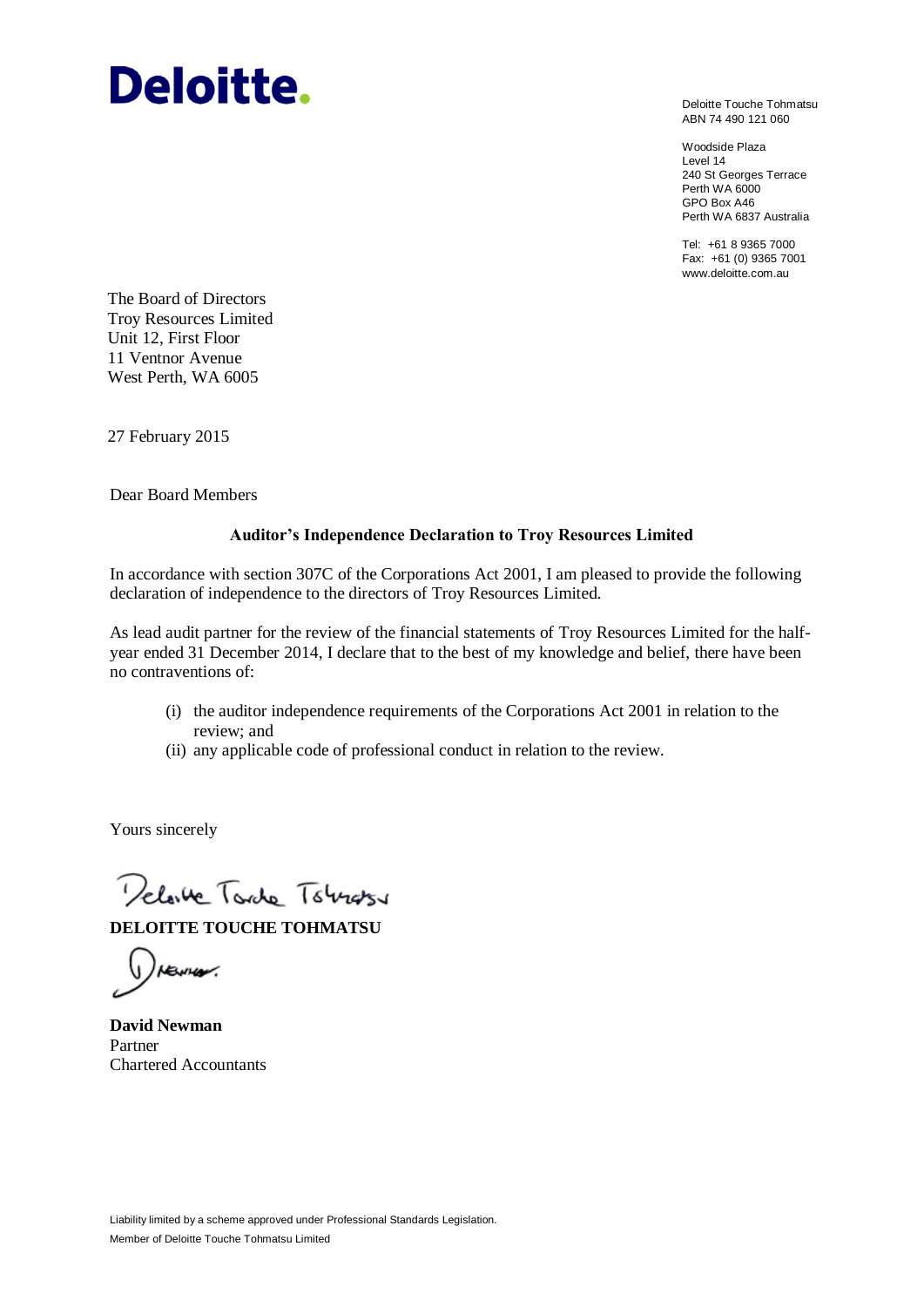# **Deloitte.**

Deloitte Touche Tohmatsu ABN 74 490 121 060

Woodside Plaza Level 14 240 St Georges Terrace Perth WA 6000 GPO Box A46 Perth WA 6837 Australia

Tel: +61 8 9365 7000 Fax: +61 (0) 9365 7001 www.deloitte.com.au

The Board of Directors Troy Resources Limited Unit 12, First Floor 11 Ventnor Avenue West Perth, WA 6005

27 February 2015

Dear Board Members

# **Auditor's Independence Declaration to Troy Resources Limited**

In accordance with section 307C of the Corporations Act 2001, I am pleased to provide the following declaration of independence to the directors of Troy Resources Limited.

As lead audit partner for the review of the financial statements of Troy Resources Limited for the halfyear ended 31 December 2014, I declare that to the best of my knowledge and belief, there have been no contraventions of:

- (i) the auditor independence requirements of the Corporations Act 2001 in relation to the review; and
- (ii) any applicable code of professional conduct in relation to the review.

Yours sincerely

Delaite Tordo Tobrass

**DELOITTE TOUCHE TOHMATSU**

 $(y)$ rewer.

**David Newman** Partner Chartered Accountants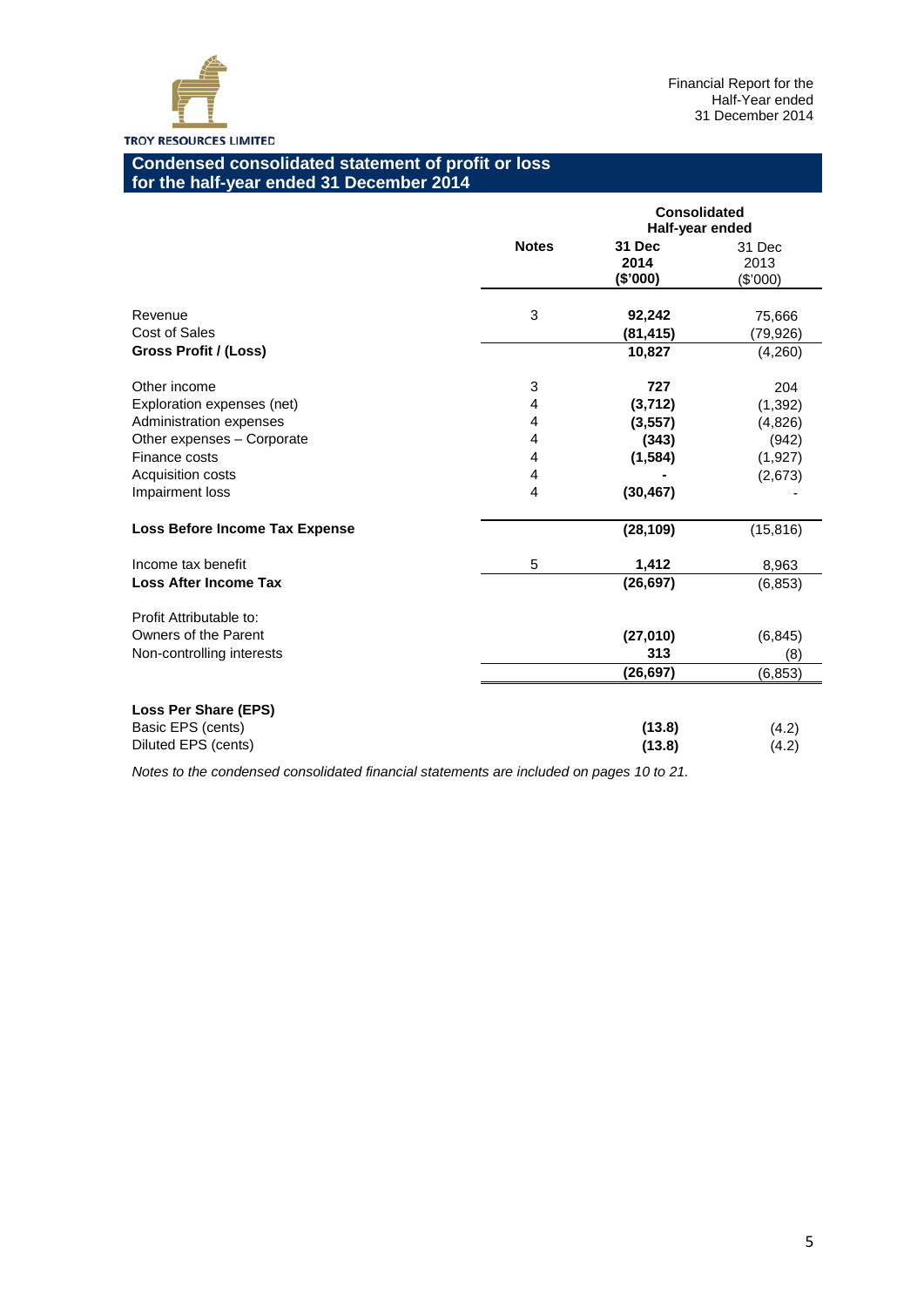

# **Condensed consolidated statement of profit or loss for the half-year ended 31 December 2014**

|                                                       |              | <b>Consolidated</b><br>Half-year ended |                            |  |  |
|-------------------------------------------------------|--------------|----------------------------------------|----------------------------|--|--|
|                                                       | <b>Notes</b> | 31 Dec<br>2014<br>(\$'000)             | 31 Dec<br>2013<br>(\$'000) |  |  |
| Revenue<br><b>Cost of Sales</b>                       | 3            | 92,242<br>(81, 415)                    | 75,666<br>(79,926)         |  |  |
| Gross Profit / (Loss)                                 |              | 10,827                                 | (4,260)                    |  |  |
| Other income                                          | 3            | 727                                    | 204                        |  |  |
| Exploration expenses (net)<br>Administration expenses | 4<br>4       | (3,712)<br>(3, 557)                    | (1, 392)<br>(4,826)        |  |  |
| Other expenses - Corporate<br>Finance costs           | 4<br>4       | (343)<br>(1,584)                       | (942)<br>(1,927)           |  |  |
| Acquisition costs<br>Impairment loss                  | 4<br>4       | (30, 467)                              | (2,673)                    |  |  |
| Loss Before Income Tax Expense                        |              | (28, 109)                              | (15, 816)                  |  |  |
| Income tax benefit                                    | 5            | 1,412                                  | 8,963                      |  |  |
| <b>Loss After Income Tax</b>                          |              | (26, 697)                              | (6, 853)                   |  |  |
| Profit Attributable to:                               |              |                                        |                            |  |  |
| Owners of the Parent<br>Non-controlling interests     |              | (27,010)<br>313                        | (6, 845)<br>(8)            |  |  |
|                                                       |              | (26, 697)                              | (6, 853)                   |  |  |
| Loss Per Share (EPS)                                  |              |                                        |                            |  |  |
| Basic EPS (cents)<br>Diluted EPS (cents)              |              | (13.8)<br>(13.8)                       | (4.2)<br>(4.2)             |  |  |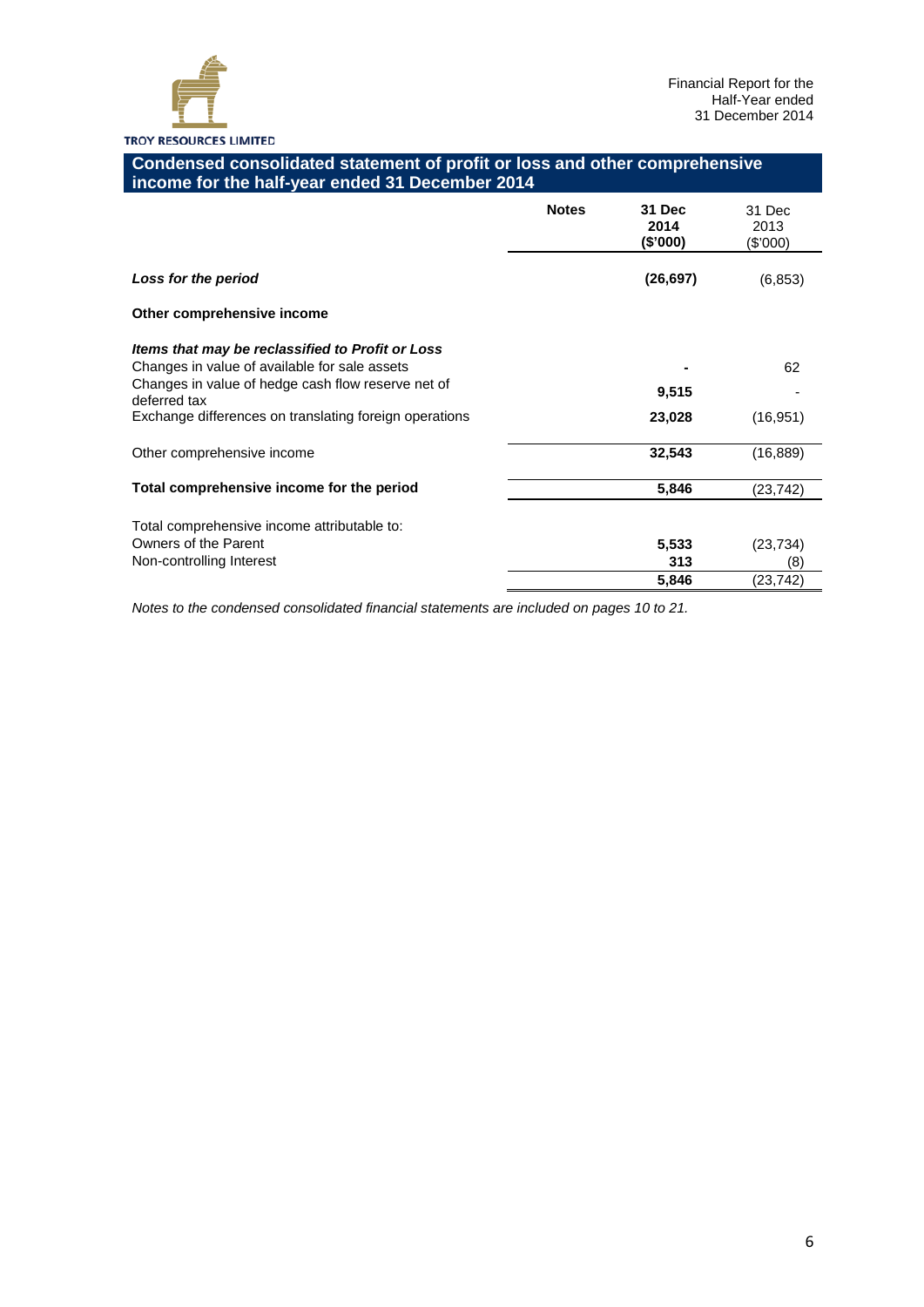

# **Condensed consolidated statement of profit or loss and other comprehensive income for the half-year ended 31 December 2014**

|                                                                    | <b>Notes</b> | 31 Dec<br>2014<br>(\$'000) | 31 Dec<br>2013<br>(\$'000) |
|--------------------------------------------------------------------|--------------|----------------------------|----------------------------|
| Loss for the period                                                |              | (26, 697)                  | (6, 853)                   |
| Other comprehensive income                                         |              |                            |                            |
| Items that may be reclassified to Profit or Loss                   |              |                            |                            |
| Changes in value of available for sale assets                      |              |                            | 62                         |
| Changes in value of hedge cash flow reserve net of<br>deferred tax |              | 9,515                      |                            |
| Exchange differences on translating foreign operations             |              | 23,028                     | (16, 951)                  |
| Other comprehensive income                                         |              | 32,543                     | (16, 889)                  |
| Total comprehensive income for the period                          |              | 5,846                      | (23, 742)                  |
| Total comprehensive income attributable to:                        |              |                            |                            |
| Owners of the Parent                                               |              | 5,533                      | (23, 734)                  |
| Non-controlling Interest                                           |              | 313                        | (8)                        |
|                                                                    |              | 5,846                      | (23, 742)                  |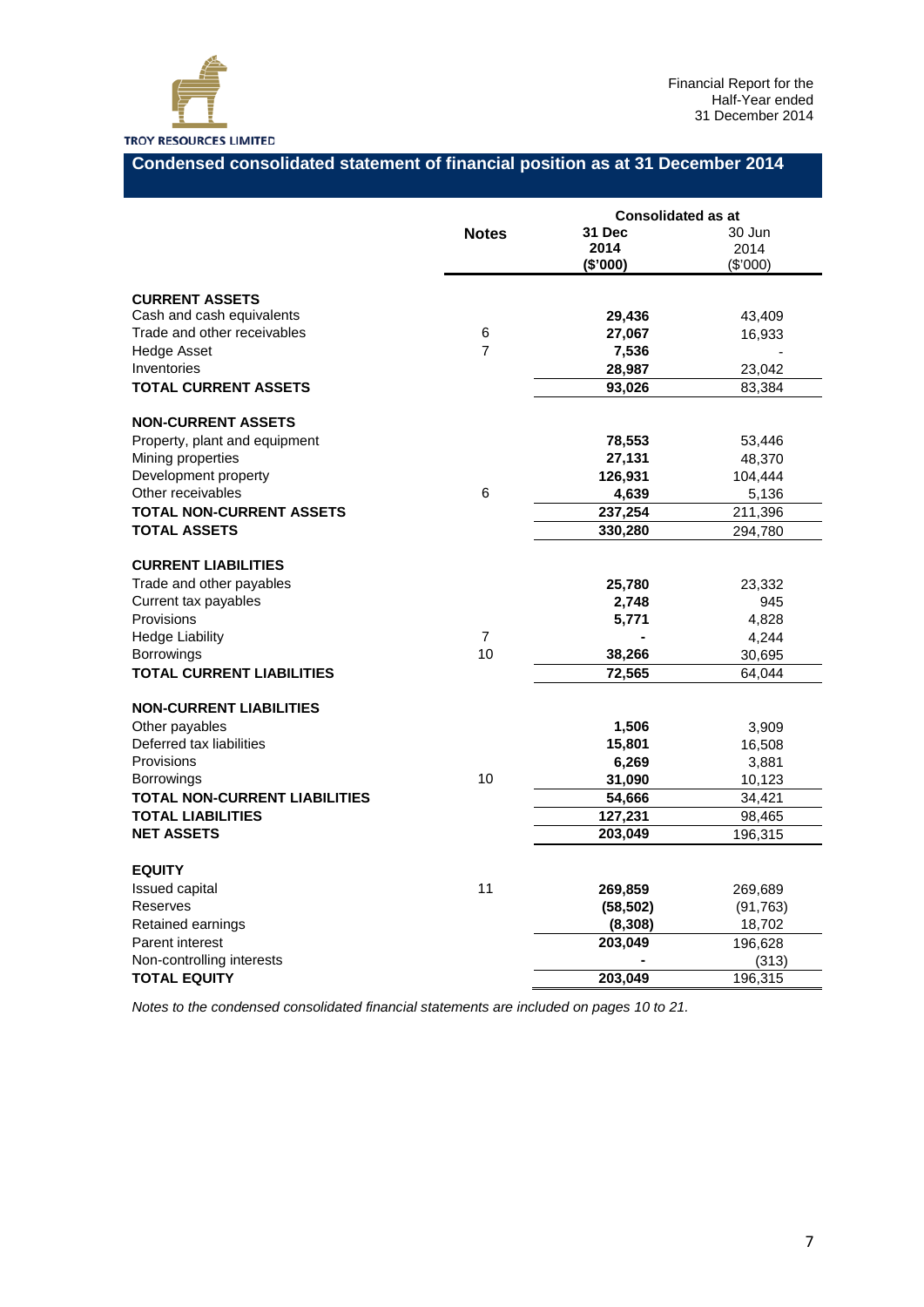

# **Condensed consolidated statement of financial position as at 31 December 2014**

|                                                                                |                | <b>Consolidated as at</b>  |                            |  |  |
|--------------------------------------------------------------------------------|----------------|----------------------------|----------------------------|--|--|
|                                                                                | <b>Notes</b>   | 31 Dec<br>2014<br>(\$'000) | 30 Jun<br>2014<br>(\$'000) |  |  |
| <b>CURRENT ASSETS</b>                                                          |                |                            |                            |  |  |
| Cash and cash equivalents                                                      |                | 29,436                     | 43,409                     |  |  |
| Trade and other receivables                                                    | 6              | 27,067                     | 16,933                     |  |  |
| <b>Hedge Asset</b>                                                             | $\overline{7}$ | 7,536                      |                            |  |  |
| Inventories                                                                    |                | 28,987                     | 23,042                     |  |  |
| <b>TOTAL CURRENT ASSETS</b>                                                    |                | 93,026                     | 83,384                     |  |  |
| <b>NON-CURRENT ASSETS</b>                                                      |                |                            |                            |  |  |
| Property, plant and equipment                                                  |                | 78,553                     | 53,446                     |  |  |
| Mining properties                                                              |                | 27,131                     | 48,370                     |  |  |
| Development property                                                           |                | 126,931                    | 104,444                    |  |  |
| Other receivables                                                              | 6              | 4,639                      | 5,136                      |  |  |
| <b>TOTAL NON-CURRENT ASSETS</b>                                                |                | 237,254                    | 211,396                    |  |  |
| <b>TOTAL ASSETS</b>                                                            |                | 330,280                    | 294,780                    |  |  |
| <b>CURRENT LIABILITIES</b><br>Trade and other payables<br>Current tax payables |                | 25,780<br>2,748            | 23,332<br>945              |  |  |
| Provisions                                                                     |                | 5,771                      | 4,828                      |  |  |
| <b>Hedge Liability</b>                                                         | $\overline{7}$ |                            | 4,244                      |  |  |
| <b>Borrowings</b>                                                              | 10             | 38,266                     | 30,695                     |  |  |
| <b>TOTAL CURRENT LIABILITIES</b>                                               |                | 72,565                     | 64,044                     |  |  |
| <b>NON-CURRENT LIABILITIES</b>                                                 |                |                            |                            |  |  |
| Other payables                                                                 |                | 1,506                      | 3,909                      |  |  |
| Deferred tax liabilities                                                       |                | 15,801                     | 16,508                     |  |  |
| Provisions                                                                     |                | 6,269                      | 3,881                      |  |  |
| <b>Borrowings</b>                                                              | 10             | 31,090                     | 10,123                     |  |  |
| <b>TOTAL NON-CURRENT LIABILITIES</b>                                           |                | 54,666                     | 34,421                     |  |  |
| <b>TOTAL LIABILITIES</b>                                                       |                | 127,231                    | 98,465                     |  |  |
| <b>NET ASSETS</b>                                                              |                | 203,049                    | 196,315                    |  |  |
| <b>EQUITY</b>                                                                  |                |                            |                            |  |  |
| Issued capital                                                                 | 11             | 269,859                    | 269,689                    |  |  |
| Reserves                                                                       |                | (58, 502)                  | (91, 763)                  |  |  |
| Retained earnings                                                              |                | (8,308)                    | 18,702                     |  |  |
| Parent interest                                                                |                | 203,049                    | 196,628                    |  |  |
| Non-controlling interests                                                      |                |                            | (313)                      |  |  |
| <b>TOTAL EQUITY</b>                                                            |                | 203,049                    | 196,315                    |  |  |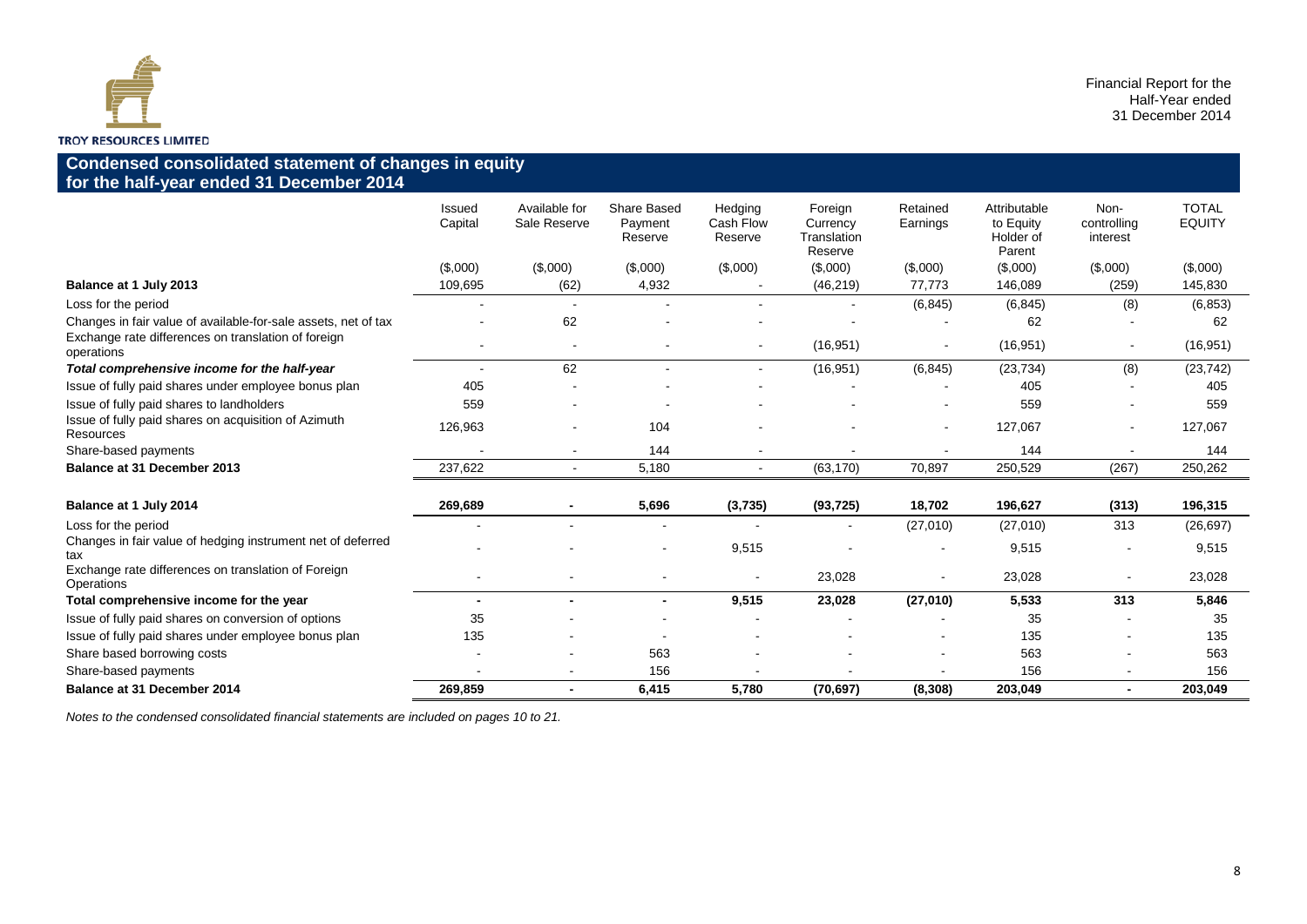

# **Condensed consolidated statement of changes in equity for the half-year ended 31 December 2014**

|                                                                    | Issued<br>Capital | Available for<br>Sale Reserve | Share Based<br>Payment<br>Reserve | Hedging<br>Cash Flow<br>Reserve | Foreign<br>Currency<br>Translation<br>Reserve | Retained<br>Earnings | Attributable<br>to Equity<br>Holder of<br>Parent | Non-<br>controlling<br>interest | <b>TOTAL</b><br><b>EQUITY</b> |
|--------------------------------------------------------------------|-------------------|-------------------------------|-----------------------------------|---------------------------------|-----------------------------------------------|----------------------|--------------------------------------------------|---------------------------------|-------------------------------|
|                                                                    | (\$,000)          | (\$,000)                      | (\$,000)                          | (\$,000)                        | (\$,000)                                      | (\$,000)             | (\$,000)                                         | (\$,000)                        | (\$,000)                      |
| Balance at 1 July 2013                                             | 109,695           | (62)                          | 4,932                             |                                 | (46, 219)                                     | 77,773               | 146,089                                          | (259)                           | 145,830                       |
| Loss for the period                                                |                   |                               |                                   |                                 |                                               | (6, 845)             | (6, 845)                                         | (8)                             | (6, 853)                      |
| Changes in fair value of available-for-sale assets, net of tax     |                   | 62                            |                                   |                                 |                                               |                      | 62                                               |                                 | 62                            |
| Exchange rate differences on translation of foreign<br>operations  |                   | $\overline{\phantom{a}}$      |                                   |                                 | (16, 951)                                     |                      | (16, 951)                                        | $\blacksquare$                  | (16, 951)                     |
| Total comprehensive income for the half-year                       |                   | 62                            |                                   |                                 | (16, 951)                                     | (6, 845)             | (23, 734)                                        | (8)                             | (23, 742)                     |
| Issue of fully paid shares under employee bonus plan               | 405               |                               |                                   |                                 |                                               |                      | 405                                              |                                 | 405                           |
| Issue of fully paid shares to landholders                          | 559               |                               |                                   |                                 |                                               |                      | 559                                              |                                 | 559                           |
| Issue of fully paid shares on acquisition of Azimuth<br>Resources  | 126,963           |                               | 104                               |                                 |                                               | $\sim$               | 127,067                                          | $\overline{\phantom{a}}$        | 127,067                       |
| Share-based payments                                               |                   | $\blacksquare$                | 144                               |                                 |                                               |                      | 144                                              |                                 | 144                           |
| <b>Balance at 31 December 2013</b>                                 | 237.622           | $\blacksquare$                | 5.180                             |                                 | (63, 170)                                     | 70,897               | 250,529                                          | (267)                           | 250,262                       |
|                                                                    |                   |                               |                                   |                                 |                                               |                      |                                                  |                                 |                               |
| Balance at 1 July 2014                                             | 269,689           |                               | 5,696                             | (3,735)                         | (93, 725)                                     | 18,702               | 196,627                                          | (313)                           | 196,315                       |
| Loss for the period                                                |                   |                               |                                   |                                 | $\sim$                                        | (27,010)             | (27,010)                                         | 313                             | (26, 697)                     |
| Changes in fair value of hedging instrument net of deferred<br>tax |                   |                               |                                   | 9,515                           |                                               |                      | 9,515                                            |                                 | 9,515                         |
| Exchange rate differences on translation of Foreign<br>Operations  |                   |                               |                                   |                                 | 23,028                                        |                      | 23,028                                           |                                 | 23,028                        |
| Total comprehensive income for the year                            |                   | $\blacksquare$                | $\blacksquare$                    | 9,515                           | 23,028                                        | (27,010)             | 5,533                                            | 313                             | 5,846                         |
| Issue of fully paid shares on conversion of options                | 35                |                               |                                   |                                 |                                               |                      | 35                                               |                                 | 35                            |
| Issue of fully paid shares under employee bonus plan               | 135               |                               |                                   |                                 |                                               |                      | 135                                              |                                 | 135                           |
| Share based borrowing costs                                        |                   |                               | 563                               |                                 |                                               |                      | 563                                              |                                 | 563                           |
| Share-based payments                                               |                   |                               | 156                               |                                 |                                               |                      | 156                                              |                                 | 156                           |
| <b>Balance at 31 December 2014</b>                                 | 269,859           | $\blacksquare$                | 6,415                             | 5.780                           | (70, 697)                                     | (8, 308)             | 203,049                                          |                                 | 203.049                       |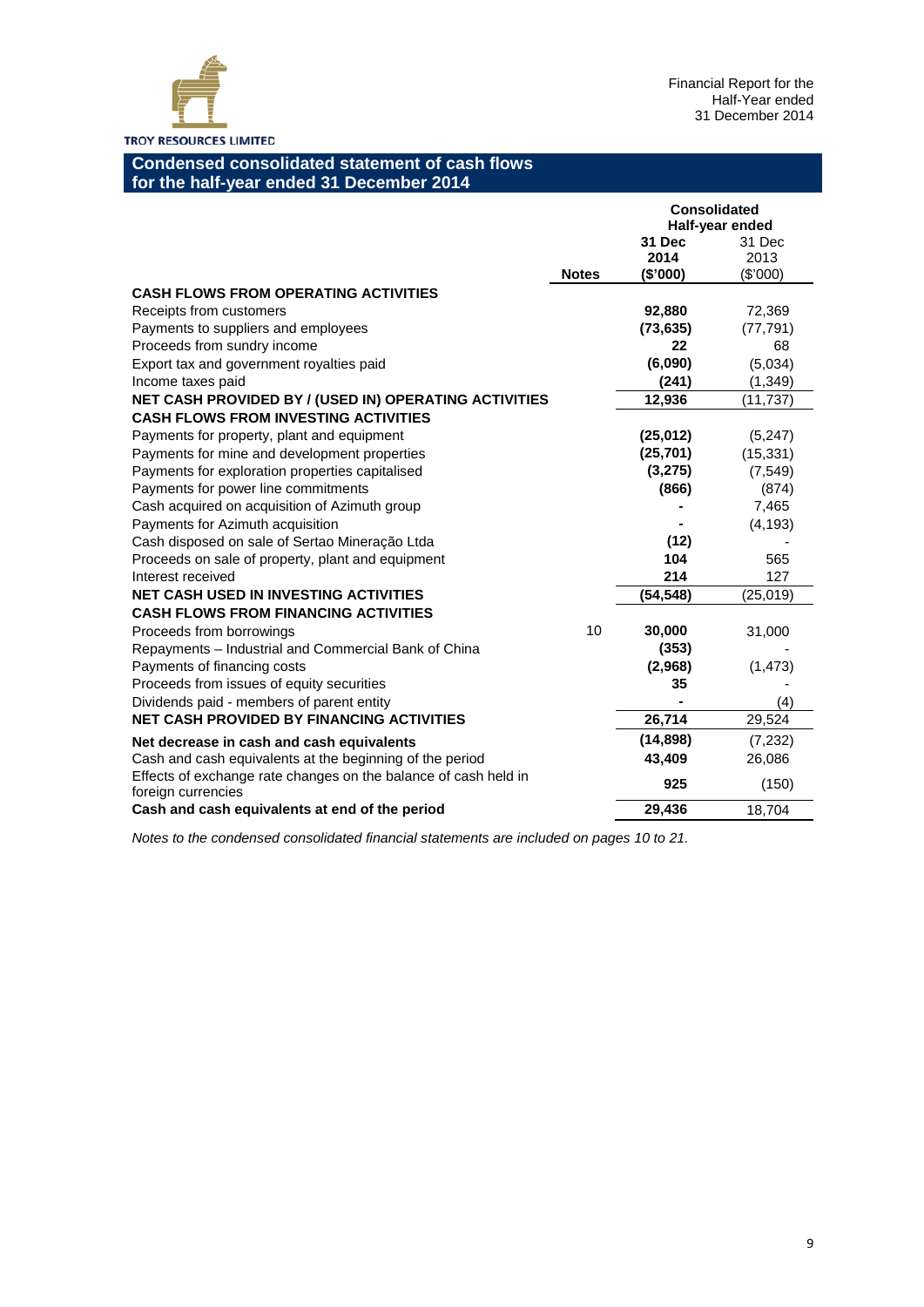

# **Condensed consolidated statement of cash flows for the half-year ended 31 December 2014**

|                                                                                       |              | <b>Consolidated</b>        | Half-year ended            |
|---------------------------------------------------------------------------------------|--------------|----------------------------|----------------------------|
|                                                                                       | <b>Notes</b> | 31 Dec<br>2014<br>(\$'000) | 31 Dec<br>2013<br>(\$'000) |
| <b>CASH FLOWS FROM OPERATING ACTIVITIES</b>                                           |              |                            |                            |
| Receipts from customers                                                               |              | 92,880                     | 72,369                     |
| Payments to suppliers and employees                                                   |              | (73, 635)                  | (77, 791)                  |
| Proceeds from sundry income                                                           |              | 22                         | 68                         |
| Export tax and government royalties paid                                              |              | (6,090)                    | (5,034)                    |
| Income taxes paid                                                                     |              | (241)                      | (1, 349)                   |
| NET CASH PROVIDED BY / (USED IN) OPERATING ACTIVITIES                                 |              | 12,936                     | (11,737)                   |
| <b>CASH FLOWS FROM INVESTING ACTIVITIES</b>                                           |              |                            |                            |
| Payments for property, plant and equipment                                            |              | (25, 012)                  | (5,247)                    |
| Payments for mine and development properties                                          |              | (25, 701)                  | (15, 331)                  |
| Payments for exploration properties capitalised                                       |              | (3,275)                    | (7, 549)                   |
| Payments for power line commitments                                                   |              | (866)                      | (874)                      |
| Cash acquired on acquisition of Azimuth group                                         |              |                            | 7,465                      |
| Payments for Azimuth acquisition                                                      |              |                            | (4, 193)                   |
| Cash disposed on sale of Sertao Mineração Ltda                                        |              | (12)                       |                            |
| Proceeds on sale of property, plant and equipment                                     |              | 104                        | 565                        |
| Interest received                                                                     |              | 214                        | 127                        |
| <b>NET CASH USED IN INVESTING ACTIVITIES</b>                                          |              | (54, 548)                  | (25, 019)                  |
| <b>CASH FLOWS FROM FINANCING ACTIVITIES</b>                                           |              |                            |                            |
| Proceeds from borrowings                                                              | 10           | 30,000                     | 31,000                     |
| Repayments - Industrial and Commercial Bank of China                                  |              | (353)                      |                            |
| Payments of financing costs                                                           |              | (2,968)                    | (1, 473)                   |
| Proceeds from issues of equity securities                                             |              | 35                         |                            |
| Dividends paid - members of parent entity                                             |              |                            | (4)                        |
| <b>NET CASH PROVIDED BY FINANCING ACTIVITIES</b>                                      |              | 26,714                     | 29,524                     |
| Net decrease in cash and cash equivalents                                             |              | (14, 898)                  | (7,232)                    |
| Cash and cash equivalents at the beginning of the period                              |              | 43,409                     | 26,086                     |
| Effects of exchange rate changes on the balance of cash held in<br>foreign currencies |              | 925                        | (150)                      |
| Cash and cash equivalents at end of the period                                        |              | 29,436                     | 18,704                     |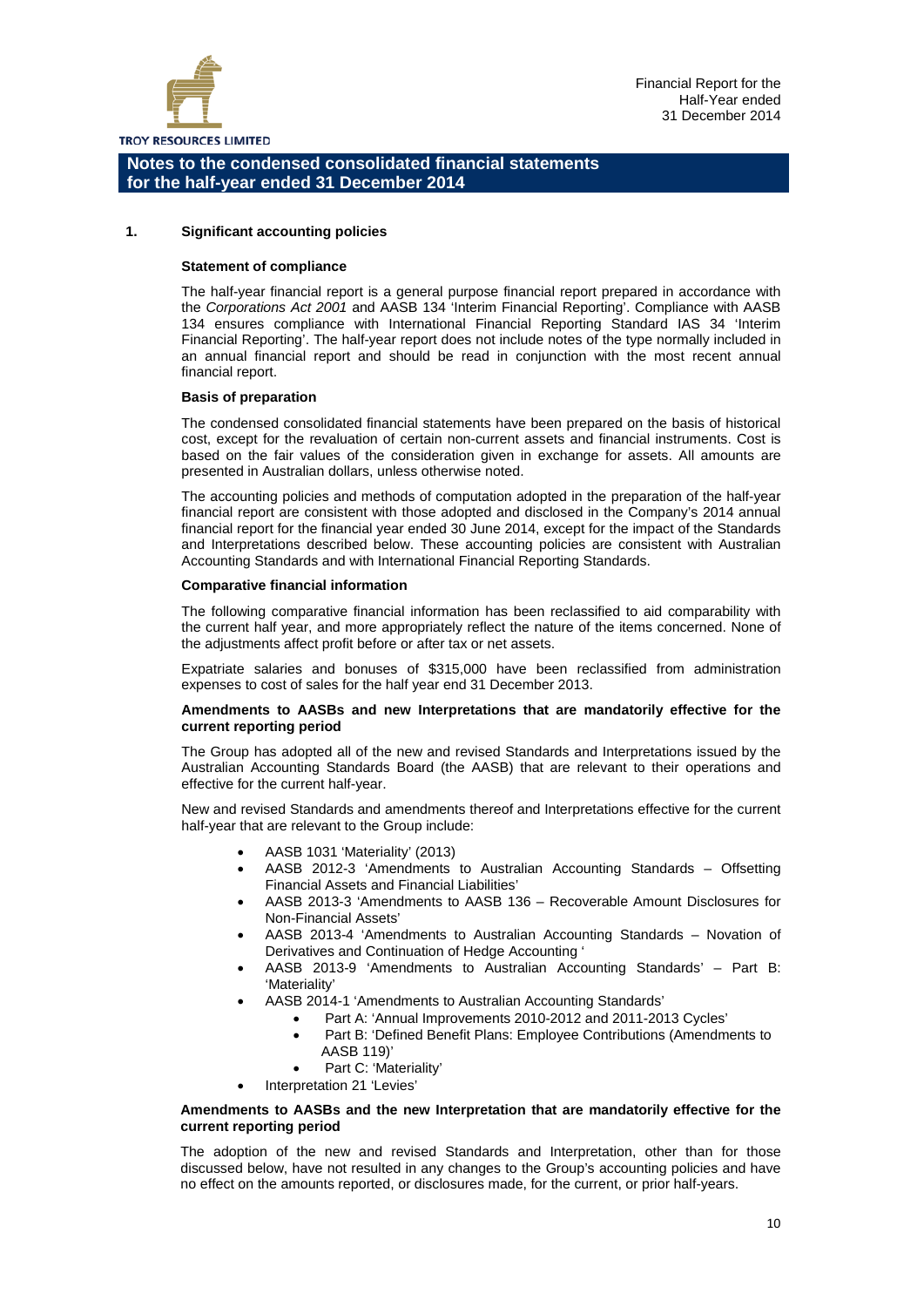

#### **1. Significant accounting policies**

#### **Statement of compliance**

The half-year financial report is a general purpose financial report prepared in accordance with the *Corporations Act 2001* and AASB 134 'Interim Financial Reporting'. Compliance with AASB 134 ensures compliance with International Financial Reporting Standard IAS 34 'Interim Financial Reporting'. The half-year report does not include notes of the type normally included in an annual financial report and should be read in conjunction with the most recent annual financial report.

#### **Basis of preparation**

The condensed consolidated financial statements have been prepared on the basis of historical cost, except for the revaluation of certain non-current assets and financial instruments. Cost is based on the fair values of the consideration given in exchange for assets. All amounts are presented in Australian dollars, unless otherwise noted.

The accounting policies and methods of computation adopted in the preparation of the half-year financial report are consistent with those adopted and disclosed in the Company's 2014 annual financial report for the financial year ended 30 June 2014, except for the impact of the Standards and Interpretations described below. These accounting policies are consistent with Australian Accounting Standards and with International Financial Reporting Standards.

#### **Comparative financial information**

The following comparative financial information has been reclassified to aid comparability with the current half year, and more appropriately reflect the nature of the items concerned. None of the adjustments affect profit before or after tax or net assets.

Expatriate salaries and bonuses of \$315,000 have been reclassified from administration expenses to cost of sales for the half year end 31 December 2013.

#### **Amendments to AASBs and new Interpretations that are mandatorily effective for the current reporting period**

The Group has adopted all of the new and revised Standards and Interpretations issued by the Australian Accounting Standards Board (the AASB) that are relevant to their operations and effective for the current half-year.

New and revised Standards and amendments thereof and Interpretations effective for the current half-year that are relevant to the Group include:

- AASB 1031 'Materiality' (2013)
- AASB 2012-3 'Amendments to Australian Accounting Standards Offsetting Financial Assets and Financial Liabilities'
- AASB 2013-3 'Amendments to AASB 136 Recoverable Amount Disclosures for Non-Financial Assets'
- AASB 2013-4 'Amendments to Australian Accounting Standards Novation of Derivatives and Continuation of Hedge Accounting '
- AASB 2013-9 'Amendments to Australian Accounting Standards' Part B: 'Materiality'
- AASB 2014-1 'Amendments to Australian Accounting Standards'
	- Part A: 'Annual Improvements 2010-2012 and 2011-2013 Cycles'
	- Part B: 'Defined Benefit Plans: Employee Contributions (Amendments to AASB 119)'
	- Part C: 'Materiality'
	- Interpretation 21 'Levies'

#### **Amendments to AASBs and the new Interpretation that are mandatorily effective for the current reporting period**

The adoption of the new and revised Standards and Interpretation, other than for those discussed below, have not resulted in any changes to the Group's accounting policies and have no effect on the amounts reported, or disclosures made, for the current, or prior half-years.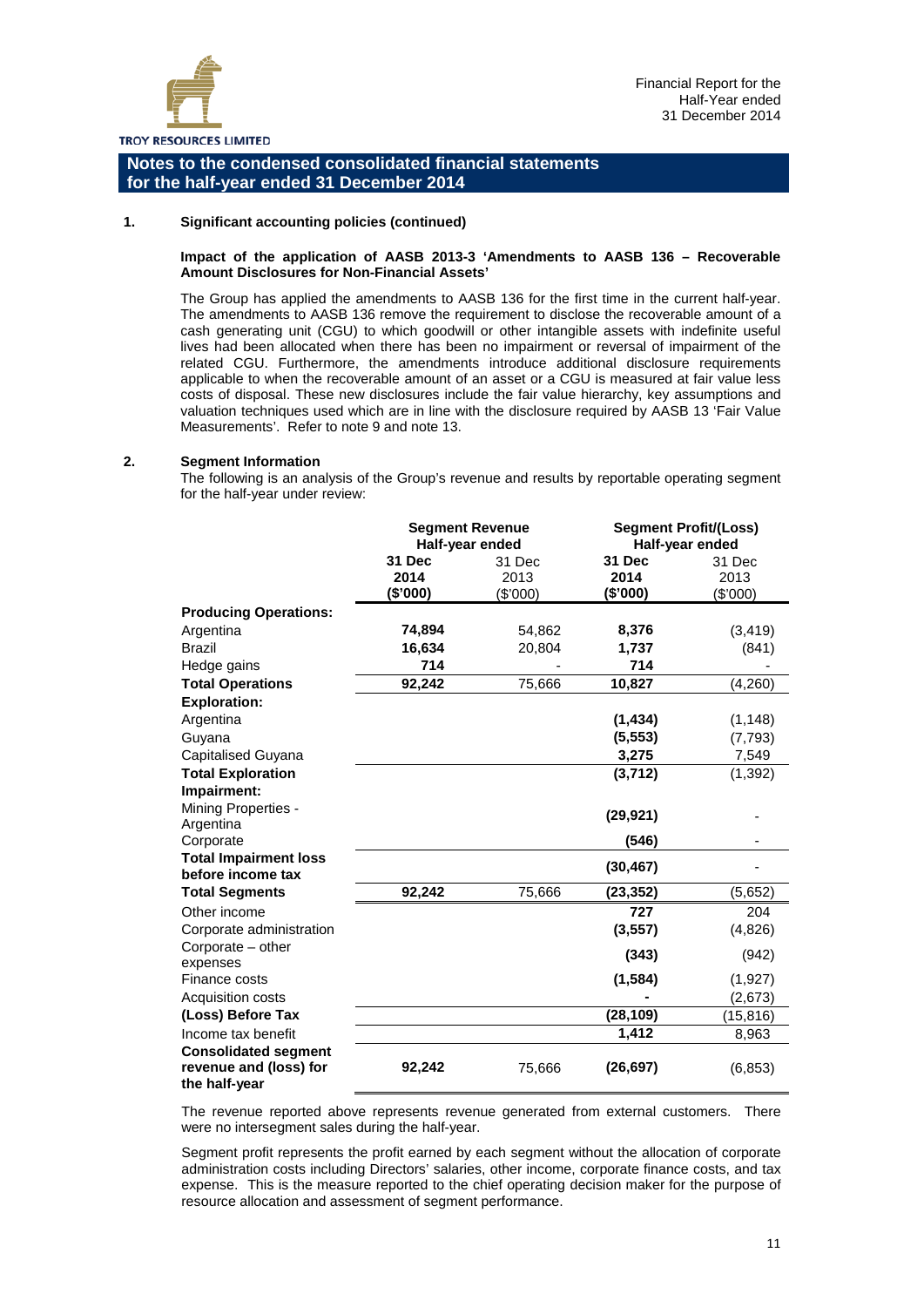

#### **1. Significant accounting policies (continued)**

#### **Impact of the application of AASB 2013-3 'Amendments to AASB 136 – Recoverable Amount Disclosures for Non-Financial Assets'**

The Group has applied the amendments to AASB 136 for the first time in the current half-year. The amendments to AASB 136 remove the requirement to disclose the recoverable amount of a cash generating unit (CGU) to which goodwill or other intangible assets with indefinite useful lives had been allocated when there has been no impairment or reversal of impairment of the related CGU. Furthermore, the amendments introduce additional disclosure requirements applicable to when the recoverable amount of an asset or a CGU is measured at fair value less costs of disposal. These new disclosures include the fair value hierarchy, key assumptions and valuation techniques used which are in line with the disclosure required by AASB 13 'Fair Value Measurements'. Refer to note 9 and note 13.

#### **2. Segment Information**

The following is an analysis of the Group's revenue and results by reportable operating segment for the half-year under review:

|                                                                        | <b>Segment Revenue</b><br>Half-year ended |                            |                            | <b>Segment Profit/(Loss)</b><br>Half-year ended |
|------------------------------------------------------------------------|-------------------------------------------|----------------------------|----------------------------|-------------------------------------------------|
|                                                                        | 31 Dec<br>2014<br>(\$'000)                | 31 Dec<br>2013<br>(\$'000) | 31 Dec<br>2014<br>(\$'000) | 31 Dec<br>2013<br>(\$'000)                      |
| <b>Producing Operations:</b>                                           |                                           |                            |                            |                                                 |
| Argentina                                                              | 74,894                                    | 54,862                     | 8,376                      | (3, 419)                                        |
| Brazil                                                                 | 16,634                                    | 20,804                     | 1,737                      | (841)                                           |
| Hedge gains                                                            | 714                                       |                            | 714                        |                                                 |
| <b>Total Operations</b>                                                | 92,242                                    | 75,666                     | 10,827                     | (4, 260)                                        |
| <b>Exploration:</b>                                                    |                                           |                            |                            |                                                 |
| Argentina                                                              |                                           |                            | (1, 434)                   | (1, 148)                                        |
| Guyana                                                                 |                                           |                            | (5, 553)                   | (7, 793)                                        |
| Capitalised Guyana                                                     |                                           |                            | 3,275                      | 7,549                                           |
| <b>Total Exploration</b>                                               |                                           |                            | (3,712)                    | (1, 392)                                        |
| Impairment:                                                            |                                           |                            |                            |                                                 |
| Mining Properties -                                                    |                                           |                            | (29, 921)                  |                                                 |
| Argentina                                                              |                                           |                            |                            |                                                 |
| Corporate                                                              |                                           |                            | (546)                      |                                                 |
| <b>Total Impairment loss</b><br>before income tax                      |                                           |                            | (30, 467)                  |                                                 |
| <b>Total Segments</b>                                                  | 92,242                                    | 75,666                     | (23, 352)                  | (5,652)                                         |
| Other income                                                           |                                           |                            | 727                        | 204                                             |
| Corporate administration                                               |                                           |                            | (3, 557)                   | (4,826)                                         |
| Corporate – other<br>expenses                                          |                                           |                            | (343)                      | (942)                                           |
| Finance costs                                                          |                                           |                            | (1, 584)                   | (1, 927)                                        |
| <b>Acquisition costs</b>                                               |                                           |                            |                            | (2,673)                                         |
| (Loss) Before Tax                                                      |                                           |                            | (28, 109)                  | (15, 816)                                       |
| Income tax benefit                                                     |                                           |                            | 1,412                      | 8,963                                           |
| <b>Consolidated segment</b><br>revenue and (loss) for<br>the half-year | 92,242                                    | 75,666                     | (26, 697)                  | (6, 853)                                        |

The revenue reported above represents revenue generated from external customers. There were no intersegment sales during the half-year.

Segment profit represents the profit earned by each segment without the allocation of corporate administration costs including Directors' salaries, other income, corporate finance costs, and tax expense. This is the measure reported to the chief operating decision maker for the purpose of resource allocation and assessment of segment performance.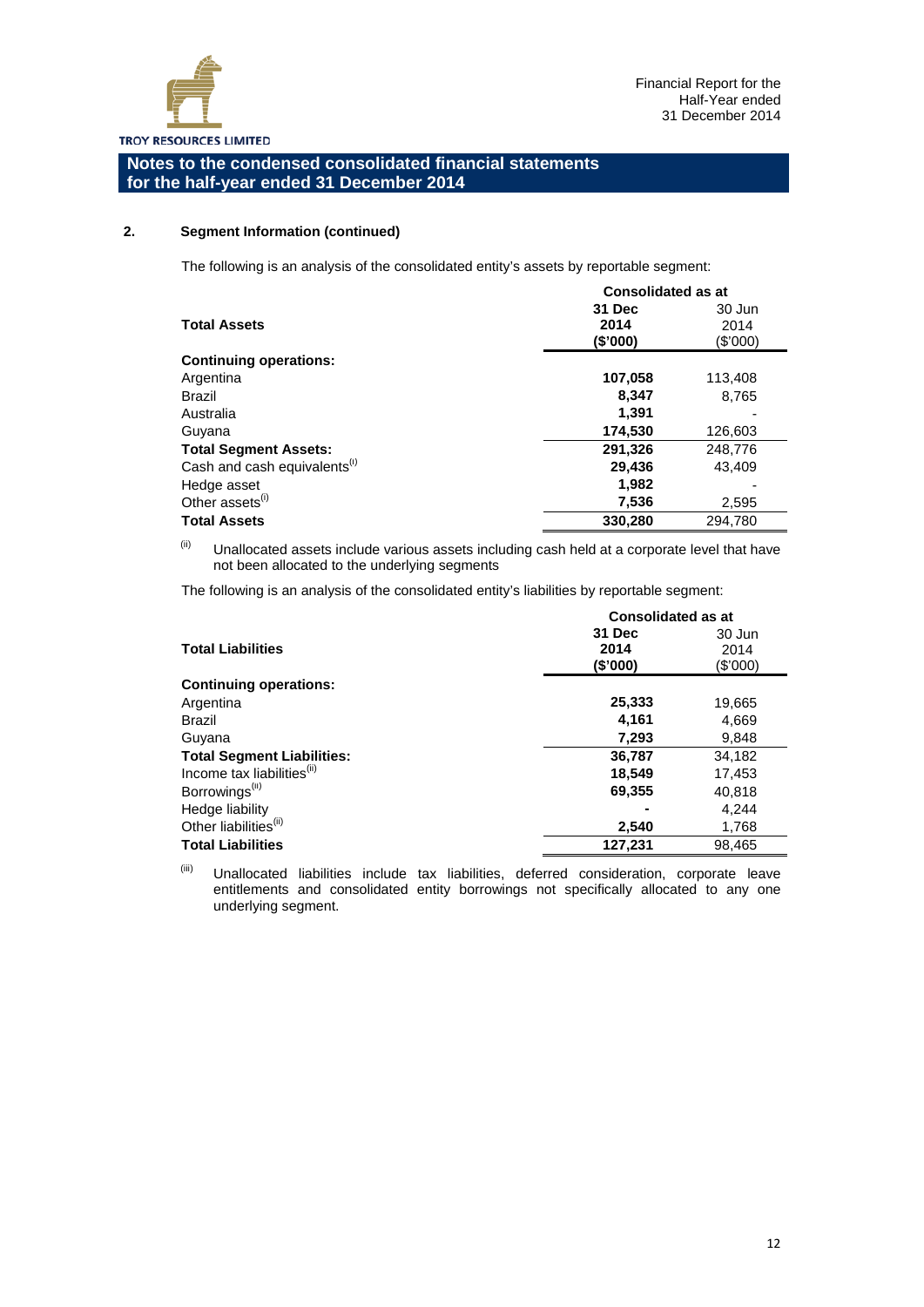

#### **2. Segment Information (continued)**

The following is an analysis of the consolidated entity's assets by reportable segment:

|                                          | <b>Consolidated as at</b> |          |
|------------------------------------------|---------------------------|----------|
|                                          | 31 Dec                    | 30 Jun   |
| <b>Total Assets</b>                      | 2014                      | 2014     |
|                                          | (\$'000)                  | (\$'000) |
| <b>Continuing operations:</b>            |                           |          |
| Argentina                                | 107,058                   | 113,408  |
| <b>Brazil</b>                            | 8,347                     | 8,765    |
| Australia                                | 1.391                     |          |
| Guyana                                   | 174,530                   | 126,603  |
| <b>Total Segment Assets:</b>             | 291,326                   | 248,776  |
| Cash and cash equivalents <sup>(i)</sup> | 29,436                    | 43,409   |
| Hedge asset                              | 1,982                     |          |
| Other assets <sup>(i)</sup>              | 7,536                     | 2,595    |
| <b>Total Assets</b>                      | 330.280                   | 294.780  |

 $<sup>(ii)</sup>$  Unallocated assets include various assets including cash held at a corporate level that have</sup> not been allocated to the underlying segments

The following is an analysis of the consolidated entity's liabilities by reportable segment:

|                                        | <b>Consolidated as at</b> |          |  |  |
|----------------------------------------|---------------------------|----------|--|--|
|                                        | 31 Dec                    | 30 Jun   |  |  |
| <b>Total Liabilities</b>               | 2014                      | 2014     |  |  |
|                                        | (\$'000)                  | (\$'000) |  |  |
| <b>Continuing operations:</b>          |                           |          |  |  |
| Argentina                              | 25,333                    | 19,665   |  |  |
| Brazil                                 | 4.161                     | 4,669    |  |  |
| Guyana                                 | 7,293                     | 9,848    |  |  |
| <b>Total Segment Liabilities:</b>      | 36,787                    | 34,182   |  |  |
| Income tax liabilities <sup>(ii)</sup> | 18,549                    | 17,453   |  |  |
| Borrowings <sup>(ii)</sup>             | 69,355                    | 40,818   |  |  |
| Hedge liability                        |                           | 4,244    |  |  |
| Other liabilities <sup>(ii)</sup>      | 2,540                     | 1,768    |  |  |
| <b>Total Liabilities</b>               | 127,231                   | 98,465   |  |  |

(iii) Unallocated liabilities include tax liabilities, deferred consideration, corporate leave entitlements and consolidated entity borrowings not specifically allocated to any one underlying segment.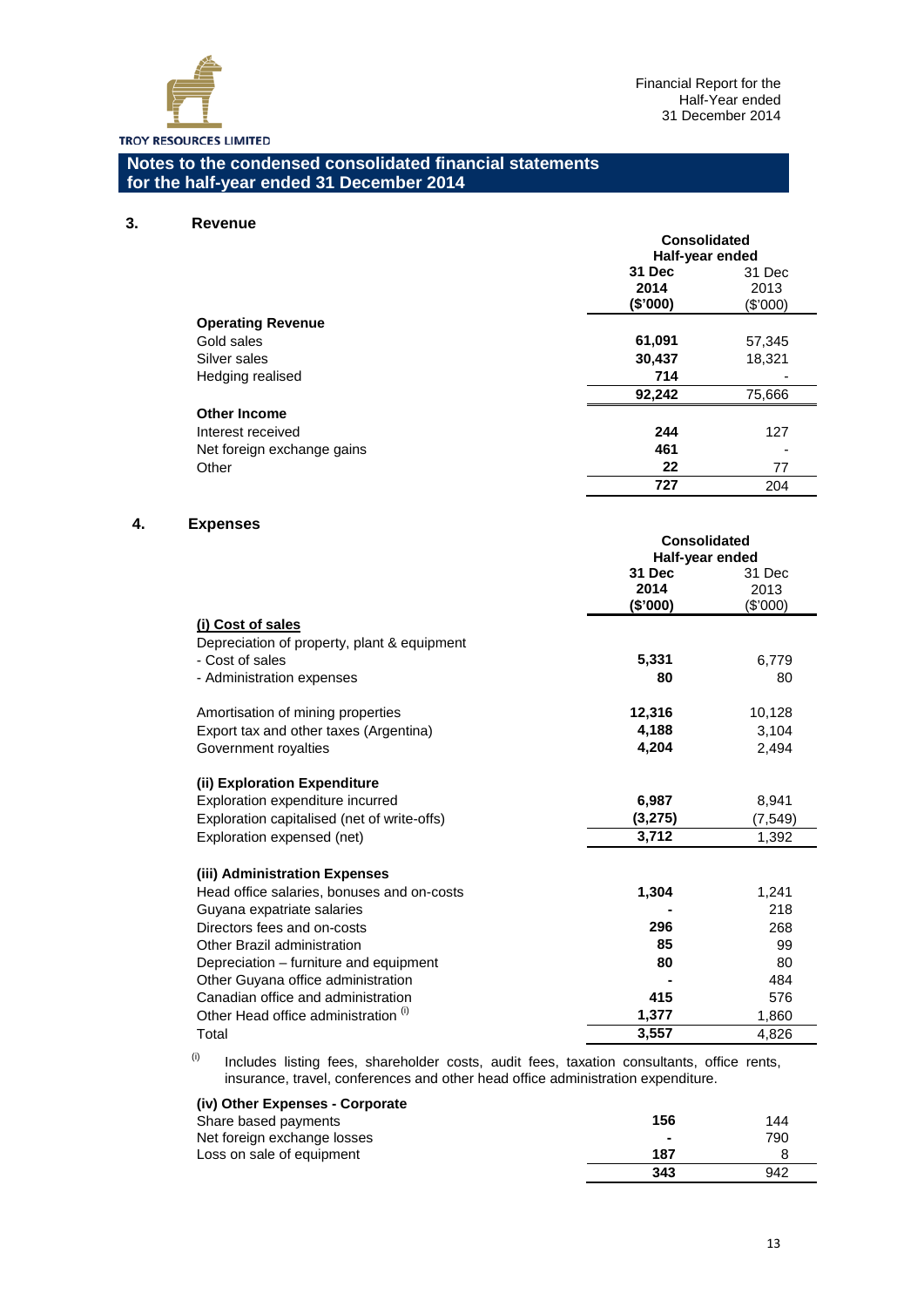

#### **3. Revenue**

|                            | <b>Consolidated</b><br>Half-year ended |          |  |
|----------------------------|----------------------------------------|----------|--|
|                            | 31 Dec<br>31 Dec                       |          |  |
|                            | 2014                                   | 2013     |  |
|                            | (\$'000)                               | (\$'000) |  |
| <b>Operating Revenue</b>   |                                        |          |  |
| Gold sales                 | 61,091                                 | 57,345   |  |
| Silver sales               | 30,437                                 | 18,321   |  |
| Hedging realised           | 714                                    |          |  |
|                            | 92,242                                 | 75,666   |  |
| <b>Other Income</b>        |                                        |          |  |
| Interest received          | 244                                    | 127      |  |
| Net foreign exchange gains | 461                                    |          |  |
| Other                      | 22                                     | 77       |  |
|                            | 727                                    | 204      |  |

## **4. Expenses**

|                                             | <b>Consolidated</b> |          |
|---------------------------------------------|---------------------|----------|
|                                             | Half-year ended     |          |
|                                             | 31 Dec              | 31 Dec   |
|                                             | 2014                | 2013     |
|                                             | (\$'000)            | (\$'000) |
| (i) Cost of sales                           |                     |          |
| Depreciation of property, plant & equipment |                     |          |
| - Cost of sales                             | 5,331               | 6,779    |
| - Administration expenses                   | 80                  | 80       |
| Amortisation of mining properties           | 12,316              | 10,128   |
| Export tax and other taxes (Argentina)      | 4,188               | 3,104    |
| Government royalties                        | 4,204               | 2,494    |
|                                             |                     |          |
| (ii) Exploration Expenditure                |                     |          |
| Exploration expenditure incurred            | 6,987               | 8,941    |
| Exploration capitalised (net of write-offs) | (3,275)             | (7, 549) |
| Exploration expensed (net)                  | 3,712               | 1,392    |
|                                             |                     |          |
| (iii) Administration Expenses               |                     |          |
| Head office salaries, bonuses and on-costs  | 1,304               | 1,241    |
| Guyana expatriate salaries                  |                     | 218      |
| Directors fees and on-costs                 | 296                 | 268      |
| Other Brazil administration                 | 85                  | 99       |
| Depreciation – furniture and equipment      | 80                  | 80       |
| Other Guyana office administration          |                     | 484      |
| Canadian office and administration          | 415                 | 576      |
| Other Head office administration (1)        | 1,377               | 1,860    |
| Total                                       | 3,557               | 4,826    |

 $(0)$  Includes listing fees, shareholder costs, audit fees, taxation consultants, office rents, insurance, travel, conferences and other head office administration expenditure.

# **(iv) Other Expenses - Corporate**

| Share based payments        | 156            | 144 |
|-----------------------------|----------------|-----|
| Net foreign exchange losses | $\blacksquare$ | 790 |
| Loss on sale of equipment   | 187            |     |
|                             | 343            | 942 |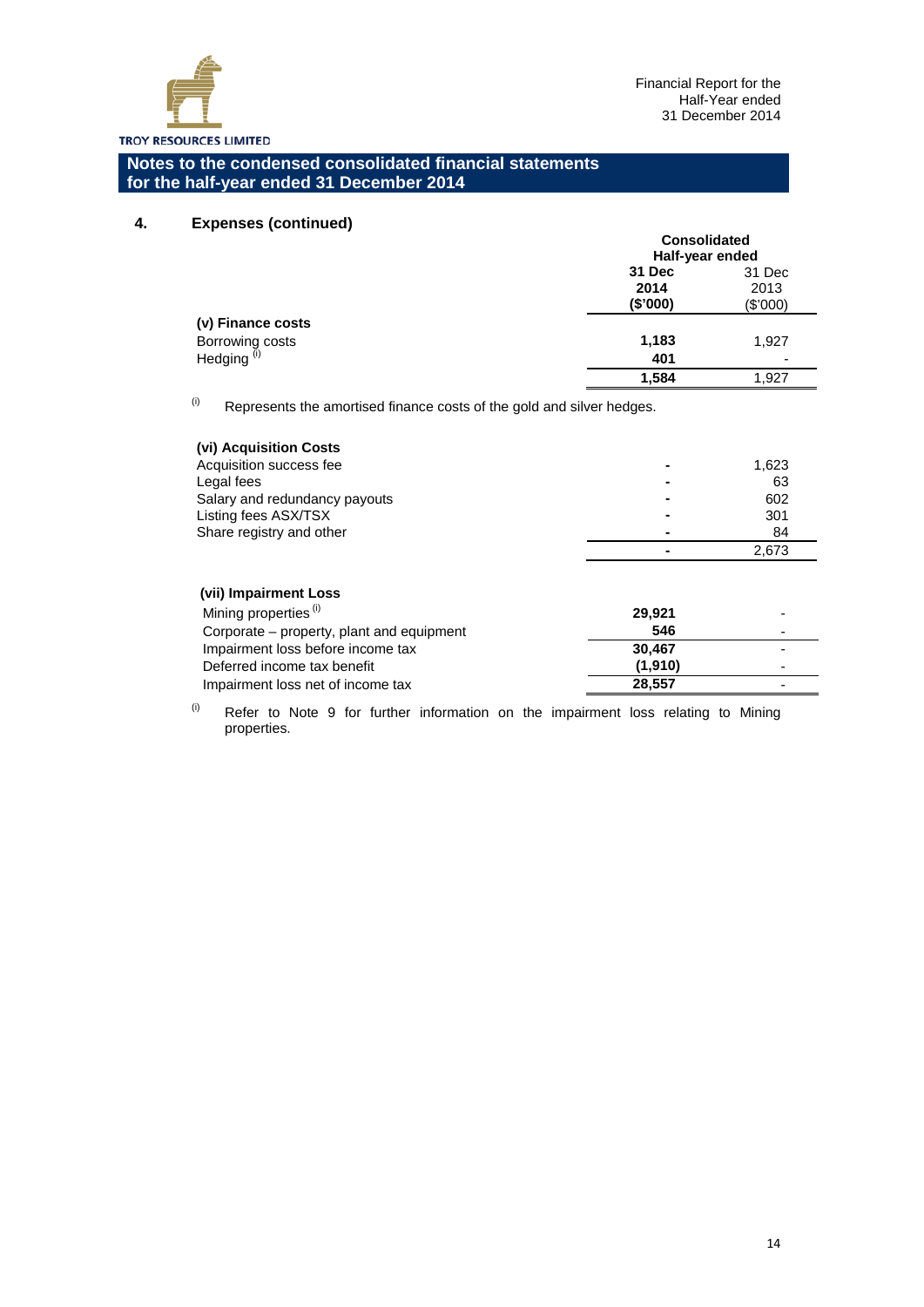

## **4. Expenses (continued)**

|                                           | <b>Consolidated</b><br>Half-year ended |            |
|-------------------------------------------|----------------------------------------|------------|
|                                           | 31 Dec                                 | 31 Dec     |
|                                           | 2014                                   | 2013       |
|                                           | (\$000)                                | $(\$'000)$ |
| (v) Finance costs                         |                                        |            |
|                                           | 1,183                                  | 1,927      |
| Borrowing costs<br>Hedging <sup>(i)</sup> | 401                                    |            |
|                                           | 1,584                                  | 1,927      |

 $(ii)$  Represents the amortised finance costs of the gold and silver hedges.

| (vi) Acquisition Costs        |                |       |
|-------------------------------|----------------|-------|
| Acquisition success fee       | $\blacksquare$ | 1,623 |
| Legal fees                    |                | 63    |
| Salary and redundancy payouts |                | 602   |
| Listing fees ASX/TSX          |                | 301   |
| Share registry and other      |                | 84    |
|                               |                | 2.673 |

#### **(vii) Impairment Loss**  Mining properties <sup>(i)</sup> **29,921 29,921** Corporate – property, plant and equipment **546** Impairment loss before income tax **30,467**<br>Deferred income tax benefit (1,910) Deferred income tax benefit Impairment loss net of income tax **28,557** -

 $(0)$  Refer to Note 9 for further information on the impairment loss relating to Mining properties.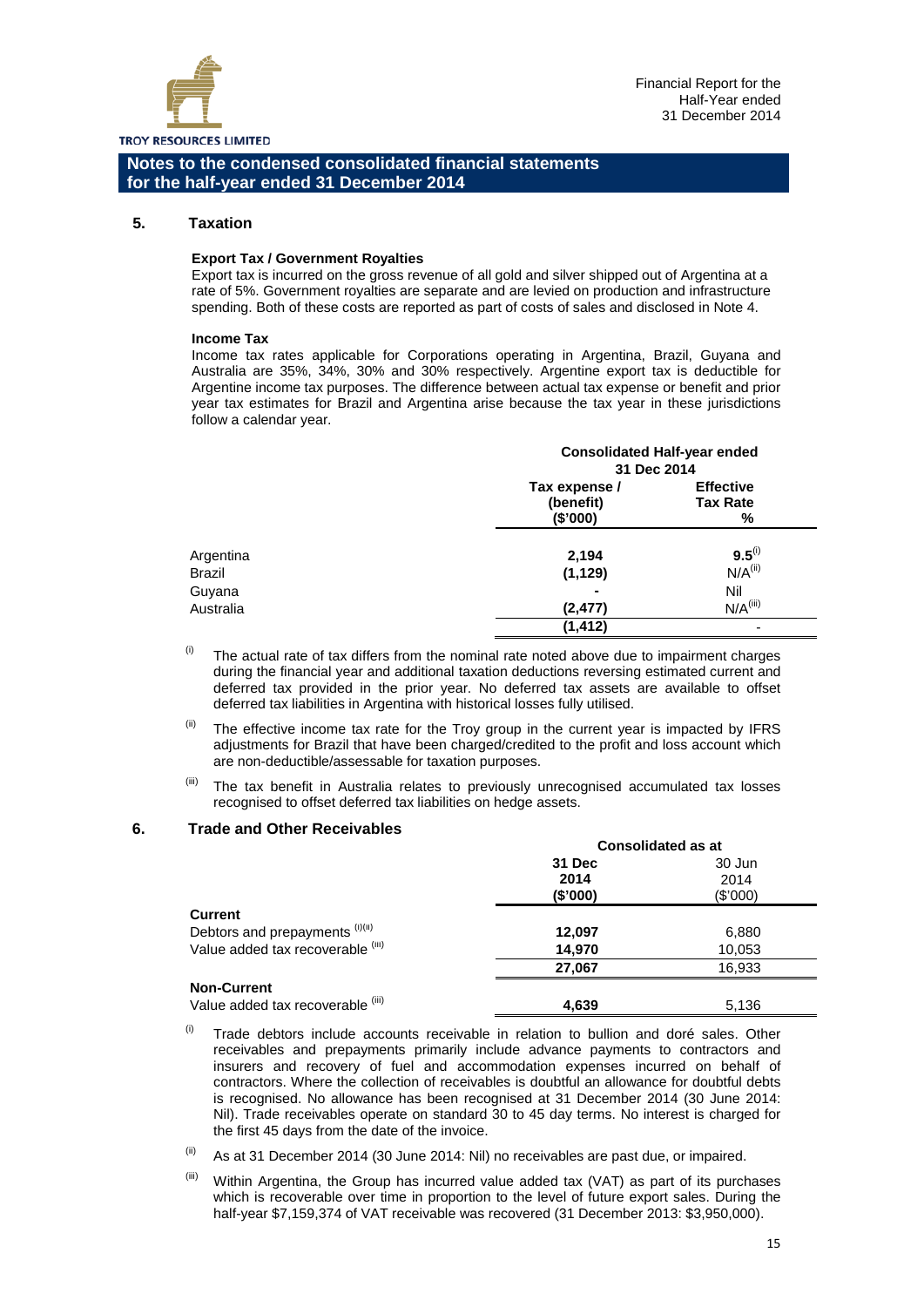

#### **5. Taxation**

#### **Export Tax / Government Royalties**

Export tax is incurred on the gross revenue of all gold and silver shipped out of Argentina at a rate of 5%. Government royalties are separate and are levied on production and infrastructure spending. Both of these costs are reported as part of costs of sales and disclosed in Note 4.

#### **Income Tax**

Income tax rates applicable for Corporations operating in Argentina, Brazil, Guyana and Australia are 35%, 34%, 30% and 30% respectively. Argentine export tax is deductible for Argentine income tax purposes. The difference between actual tax expense or benefit and prior year tax estimates for Brazil and Argentina arise because the tax year in these jurisdictions follow a calendar year.

|                            |                                        | <b>Consolidated Half-year ended</b>      |
|----------------------------|----------------------------------------|------------------------------------------|
|                            | 31 Dec 2014                            |                                          |
|                            | Tax expense /<br>(benefit)<br>(\$'000) | <b>Effective</b><br><b>Tax Rate</b><br>% |
| Argentina<br><b>Brazil</b> | 2,194<br>(1, 129)                      | $9.5^{(i)}$<br>$N/A$ <sup>(ii)</sup>     |
| Guyana                     |                                        | Nil                                      |
| Australia                  | (2, 477)<br>(1, 412)                   | $N/A$ <sup>(iii)</sup><br>۰              |

- $<sup>(i)</sup>$  The actual rate of tax differs from the nominal rate noted above due to impairment charges</sup> during the financial year and additional taxation deductions reversing estimated current and deferred tax provided in the prior year. No deferred tax assets are available to offset deferred tax liabilities in Argentina with historical losses fully utilised.
- $<sup>(ii)</sup>$  The effective income tax rate for the Troy group in the current year is impacted by IFRS</sup> adjustments for Brazil that have been charged/credited to the profit and loss account which are non-deductible/assessable for taxation purposes.
- (iii) The tax benefit in Australia relates to previously unrecognised accumulated tax losses recognised to offset deferred tax liabilities on hedge assets.

#### **6. Trade and Other Receivables**

|                                   | <b>Consolidated as at</b> |            |
|-----------------------------------|---------------------------|------------|
|                                   | 31 Dec                    | 30 Jun     |
|                                   | 2014                      | 2014       |
|                                   | (\$'000)                  | $(\$'000)$ |
| <b>Current</b>                    |                           |            |
| Debtors and prepayments (i)(ii)   | 12,097                    | 6,880      |
| Value added tax recoverable (iii) | 14,970                    | 10,053     |
|                                   | 27,067                    | 16,933     |
| <b>Non-Current</b>                |                           |            |
| Value added tax recoverable (iii) | 4,639                     | 5,136      |

- $(0)$  Trade debtors include accounts receivable in relation to bullion and doré sales. Other receivables and prepayments primarily include advance payments to contractors and insurers and recovery of fuel and accommodation expenses incurred on behalf of contractors. Where the collection of receivables is doubtful an allowance for doubtful debts is recognised. No allowance has been recognised at 31 December 2014 (30 June 2014: Nil). Trade receivables operate on standard 30 to 45 day terms. No interest is charged for the first 45 days from the date of the invoice.
- $\frac{1}{10}$  As at 31 December 2014 (30 June 2014: Nil) no receivables are past due, or impaired.
- $<sup>(iii)</sup>$  Within Argentina, the Group has incurred value added tax (VAT) as part of its purchases</sup> which is recoverable over time in proportion to the level of future export sales. During the half-year \$7,159,374 of VAT receivable was recovered (31 December 2013: \$3,950,000).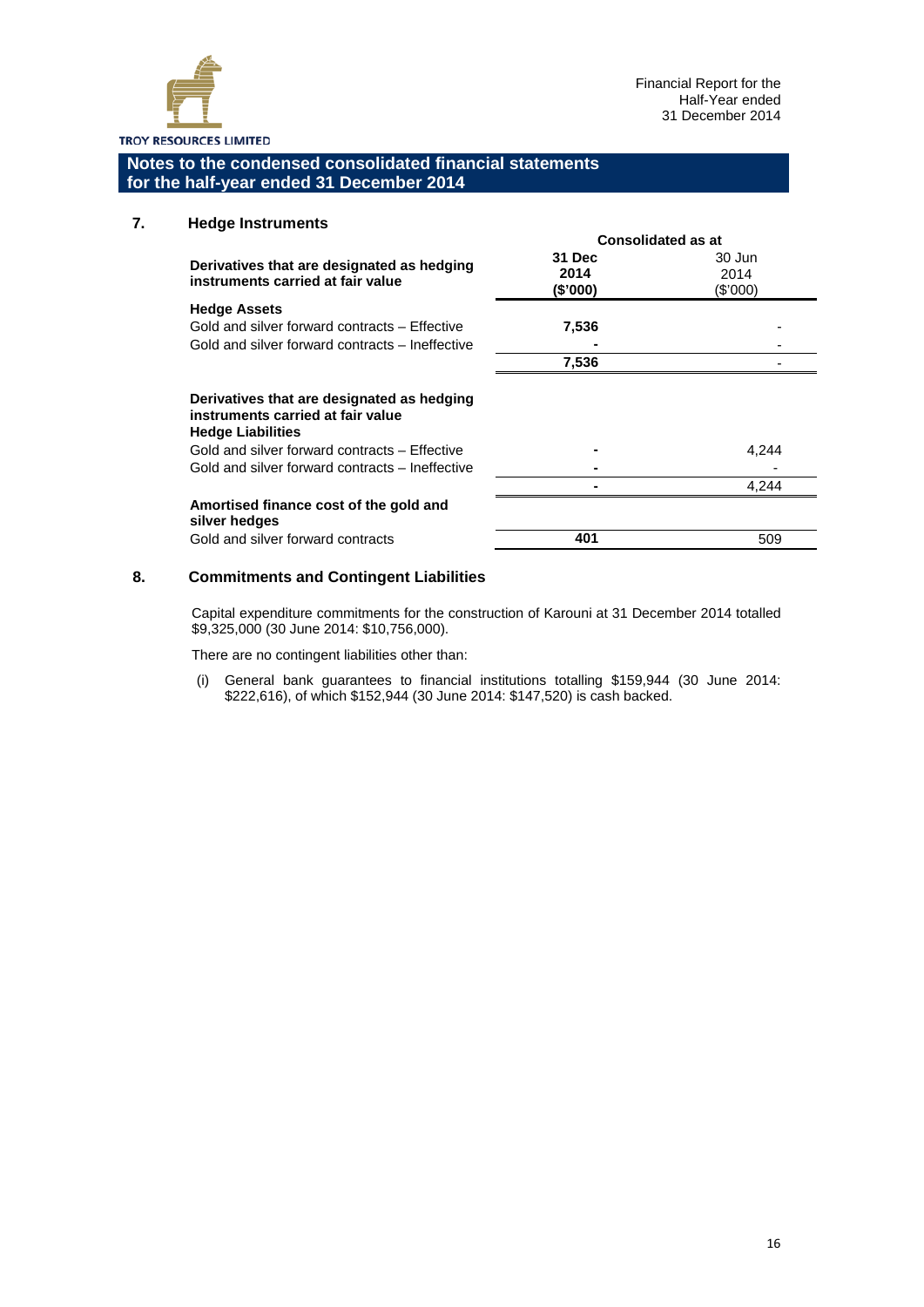

**Consolidated as at**

**Notes to the condensed consolidated financial statements for the half-year ended 31 December 2014**

## **7. Hedge Instruments**

|                                                                                                                         | GONSONGCHEU AS AL          |                            |
|-------------------------------------------------------------------------------------------------------------------------|----------------------------|----------------------------|
| Derivatives that are designated as hedging<br>instruments carried at fair value                                         | 31 Dec<br>2014<br>(\$'000) | 30 Jun<br>2014<br>(\$'000) |
| <b>Hedge Assets</b><br>Gold and silver forward contracts – Effective<br>Gold and silver forward contracts – Ineffective | 7,536                      |                            |
|                                                                                                                         | 7,536                      |                            |
| Derivatives that are designated as hedging<br>instruments carried at fair value<br><b>Hedge Liabilities</b>             |                            |                            |
| Gold and silver forward contracts – Effective                                                                           |                            | 4,244                      |
| Gold and silver forward contracts – Ineffective                                                                         |                            |                            |
|                                                                                                                         |                            | 4.244                      |
| Amortised finance cost of the gold and<br>silver hedges                                                                 |                            |                            |
| Gold and silver forward contracts                                                                                       | 401                        | 509                        |

# **8. Commitments and Contingent Liabilities**

Capital expenditure commitments for the construction of Karouni at 31 December 2014 totalled \$9,325,000 (30 June 2014: \$10,756,000).

There are no contingent liabilities other than:

(i) General bank guarantees to financial institutions totalling \$159,944 (30 June 2014: \$222,616), of which \$152,944 (30 June 2014: \$147,520) is cash backed.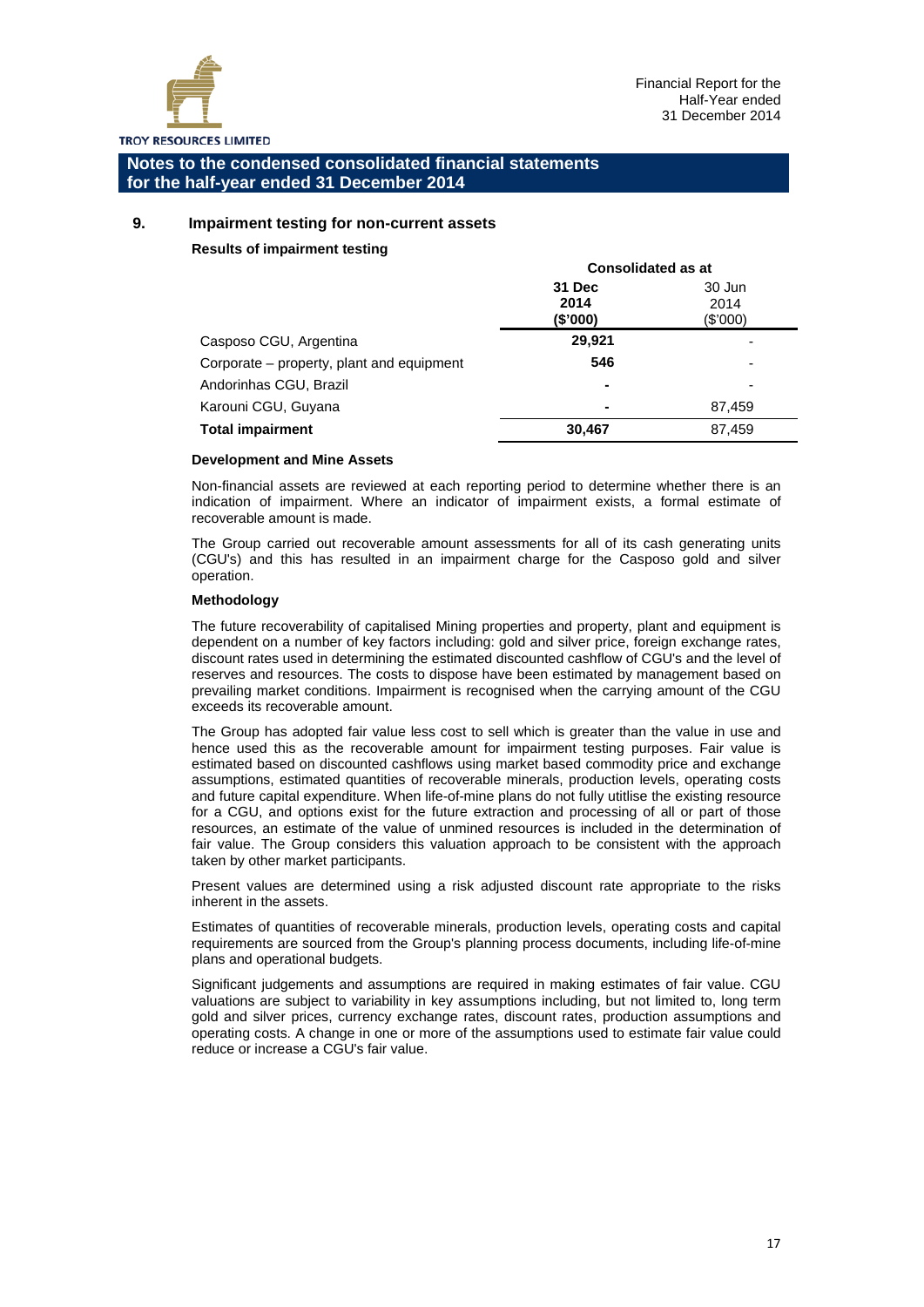

## **9. Impairment testing for non-current assets**

#### **Results of impairment testing**

|                                           | <b>Consolidated as at</b>  |                            |
|-------------------------------------------|----------------------------|----------------------------|
|                                           | 31 Dec<br>2014<br>(\$'000) | 30 Jun<br>2014<br>(\$'000) |
| Casposo CGU, Argentina                    | 29,921                     |                            |
| Corporate – property, plant and equipment | 546                        | -                          |
| Andorinhas CGU, Brazil                    | ۰                          | $\overline{\phantom{0}}$   |
| Karouni CGU, Guyana                       | $\blacksquare$             | 87,459                     |
| <b>Total impairment</b>                   | 30,467                     | 87,459                     |
|                                           |                            |                            |

#### **Development and Mine Assets**

Non-financial assets are reviewed at each reporting period to determine whether there is an indication of impairment. Where an indicator of impairment exists, a formal estimate of recoverable amount is made.

The Group carried out recoverable amount assessments for all of its cash generating units (CGU's) and this has resulted in an impairment charge for the Casposo gold and silver operation.

#### **Methodology**

The future recoverability of capitalised Mining properties and property, plant and equipment is dependent on a number of key factors including: gold and silver price, foreign exchange rates, discount rates used in determining the estimated discounted cashflow of CGU's and the level of reserves and resources. The costs to dispose have been estimated by management based on prevailing market conditions. Impairment is recognised when the carrying amount of the CGU exceeds its recoverable amount.

The Group has adopted fair value less cost to sell which is greater than the value in use and hence used this as the recoverable amount for impairment testing purposes. Fair value is estimated based on discounted cashflows using market based commodity price and exchange assumptions, estimated quantities of recoverable minerals, production levels, operating costs and future capital expenditure. When life-of-mine plans do not fully utitlise the existing resource for a CGU, and options exist for the future extraction and processing of all or part of those resources, an estimate of the value of unmined resources is included in the determination of fair value. The Group considers this valuation approach to be consistent with the approach taken by other market participants.

Present values are determined using a risk adjusted discount rate appropriate to the risks inherent in the assets.

Estimates of quantities of recoverable minerals, production levels, operating costs and capital requirements are sourced from the Group's planning process documents, including life-of-mine plans and operational budgets.

Significant judgements and assumptions are required in making estimates of fair value. CGU valuations are subject to variability in key assumptions including, but not limited to, long term gold and silver prices, currency exchange rates, discount rates, production assumptions and operating costs. A change in one or more of the assumptions used to estimate fair value could reduce or increase a CGU's fair value.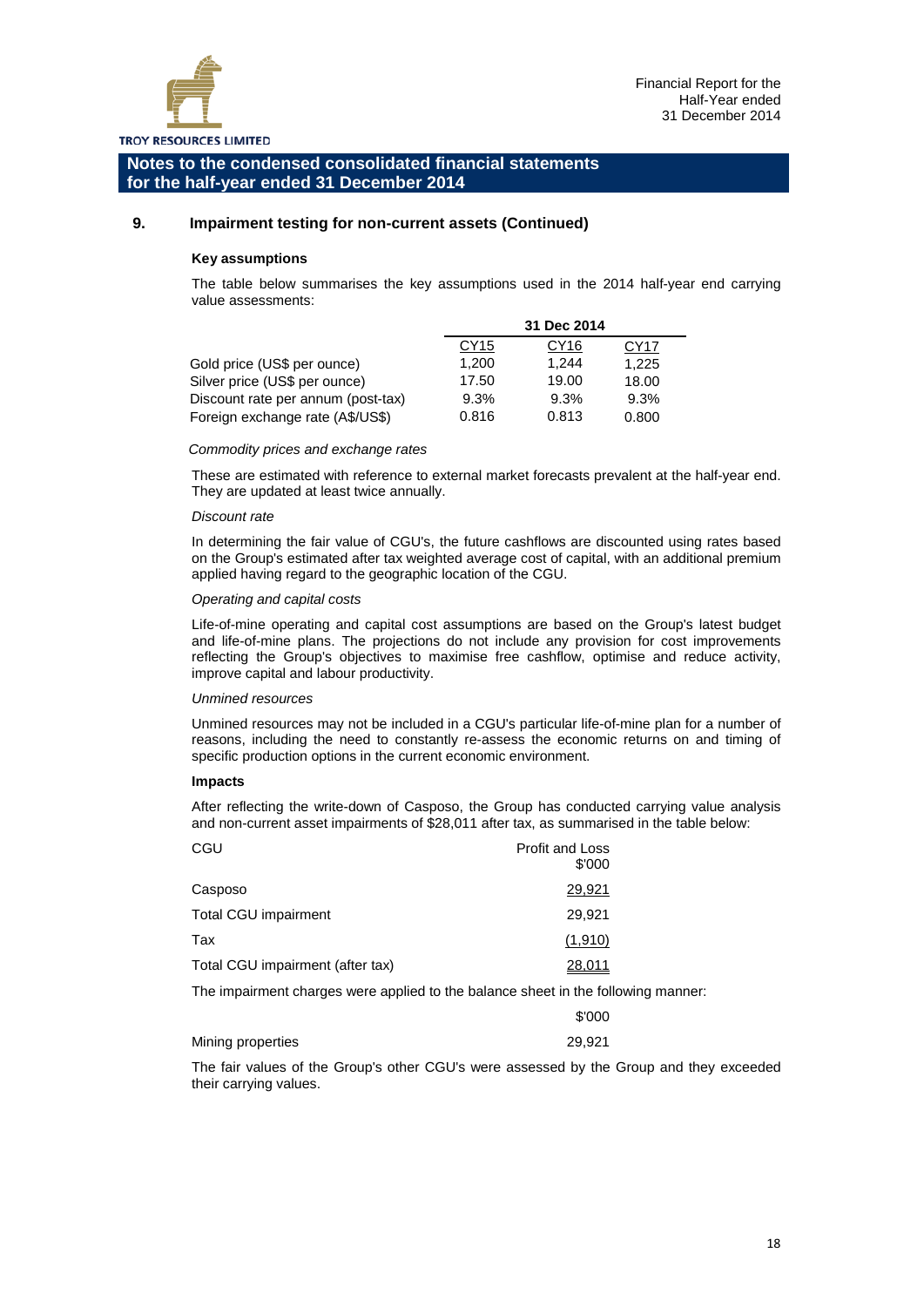

#### **9. Impairment testing for non-current assets (Continued)**

#### **Key assumptions**

The table below summarises the key assumptions used in the 2014 half-year end carrying value assessments:

|                                    | 31 Dec 2014 |       |       |
|------------------------------------|-------------|-------|-------|
|                                    | CY15        | CY16  | CY17  |
| Gold price (US\$ per ounce)        | 1,200       | 1.244 | 1.225 |
| Silver price (US\$ per ounce)      | 17.50       | 19.00 | 18.00 |
| Discount rate per annum (post-tax) | 9.3%        | 9.3%  | 9.3%  |
| Foreign exchange rate (A\$/US\$)   | 0.816       | 0.813 | 0.800 |

#### *Commodity prices and exchange rates*

These are estimated with reference to external market forecasts prevalent at the half-year end. They are updated at least twice annually.

#### *Discount rate*

In determining the fair value of CGU's, the future cashflows are discounted using rates based on the Group's estimated after tax weighted average cost of capital, with an additional premium applied having regard to the geographic location of the CGU.

#### *Operating and capital costs*

Life-of-mine operating and capital cost assumptions are based on the Group's latest budget and life-of-mine plans. The projections do not include any provision for cost improvements reflecting the Group's objectives to maximise free cashflow, optimise and reduce activity, improve capital and labour productivity.

#### *Unmined resources*

Unmined resources may not be included in a CGU's particular life-of-mine plan for a number of reasons, including the need to constantly re-assess the economic returns on and timing of specific production options in the current economic environment.

#### **Impacts**

After reflecting the write-down of Casposo, the Group has conducted carrying value analysis and non-current asset impairments of \$28,011 after tax, as summarised in the table below:

| CGU                              | <b>Profit and Loss</b><br>\$'000 |
|----------------------------------|----------------------------------|
| Casposo                          | 29,921                           |
| Total CGU impairment             | 29,921                           |
| Tax                              | (1,910)                          |
| Total CGU impairment (after tax) | 28.011                           |

The impairment charges were applied to the balance sheet in the following manner:

|                   | \$'000 |
|-------------------|--------|
| Mining properties | 29.921 |

The fair values of the Group's other CGU's were assessed by the Group and they exceeded their carrying values.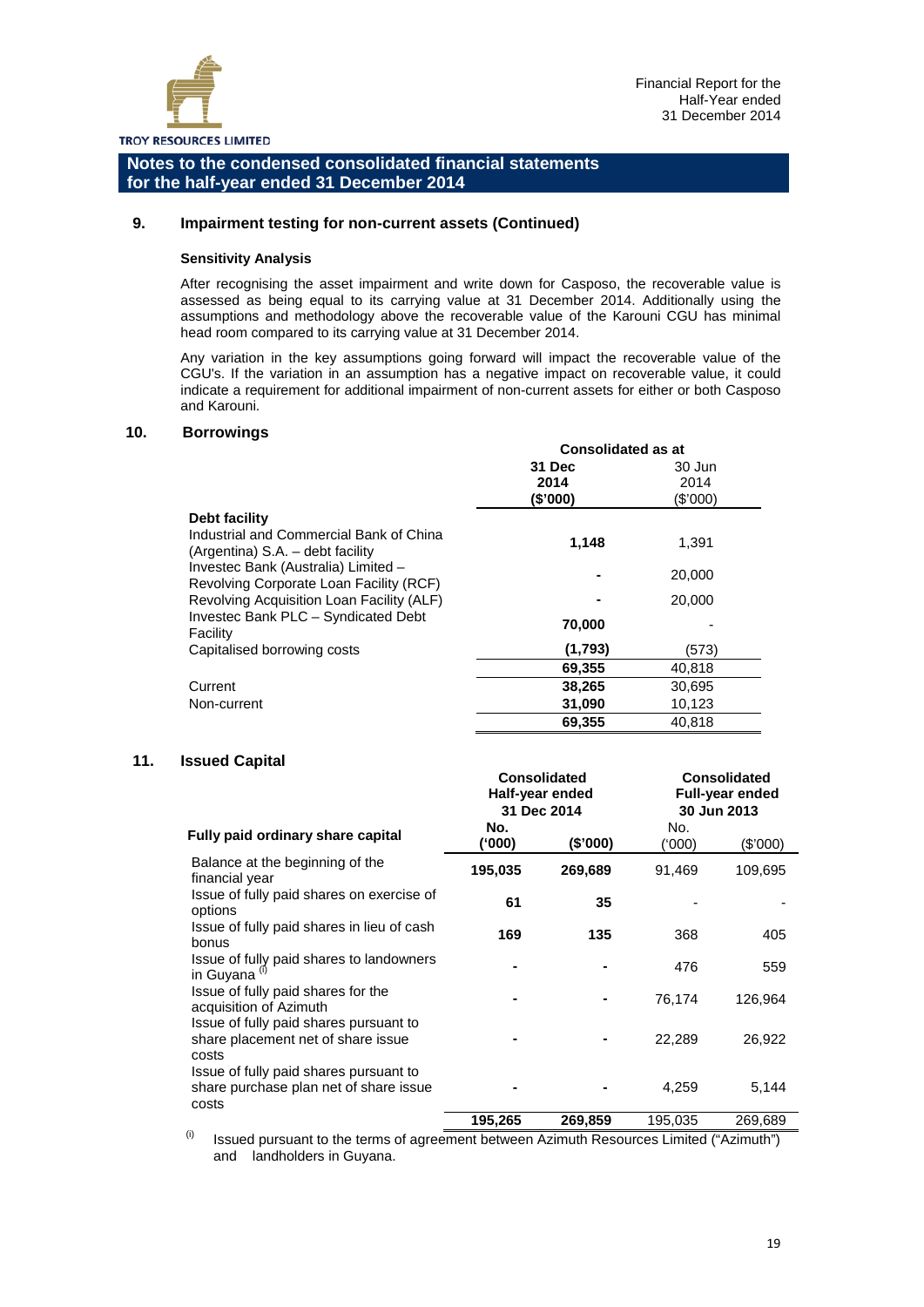

#### **9. Impairment testing for non-current assets (Continued)**

#### **Sensitivity Analysis**

After recognising the asset impairment and write down for Casposo, the recoverable value is assessed as being equal to its carrying value at 31 December 2014. Additionally using the assumptions and methodology above the recoverable value of the Karouni CGU has minimal head room compared to its carrying value at 31 December 2014.

Any variation in the key assumptions going forward will impact the recoverable value of the CGU's. If the variation in an assumption has a negative impact on recoverable value, it could indicate a requirement for additional impairment of non-current assets for either or both Casposo and Karouni.

#### **10. Borrowings**

|                                                                                | <b>Consolidated as at</b>  |                            |
|--------------------------------------------------------------------------------|----------------------------|----------------------------|
|                                                                                | 31 Dec<br>2014<br>(\$'000) | 30 Jun<br>2014<br>(\$'000) |
| Debt facility                                                                  |                            |                            |
| Industrial and Commercial Bank of China<br>(Argentina) S.A. - debt facility    | 1,148                      | 1,391                      |
| Investec Bank (Australia) Limited -<br>Revolving Corporate Loan Facility (RCF) |                            | 20,000                     |
| Revolving Acquisition Loan Facility (ALF)                                      |                            | 20,000                     |
| Investec Bank PLC - Syndicated Debt<br>Facility                                | 70,000                     |                            |
| Capitalised borrowing costs                                                    | (1,793)                    | (573)                      |
|                                                                                | 69,355                     | 40,818                     |
| Current                                                                        | 38,265                     | 30,695                     |
| Non-current                                                                    | 31,090                     | 10,123                     |
|                                                                                | 69.355                     | 40.818                     |

#### **11. Issued Capital**

|                                                                                           | Half-year ended<br>31 Dec 2014 |          | Full-year ended<br>30 Jun 2013 |          |
|-------------------------------------------------------------------------------------------|--------------------------------|----------|--------------------------------|----------|
| Fully paid ordinary share capital                                                         | No.<br>(000)                   | (\$'000) | No.<br>(000'                   | (\$'000) |
| Balance at the beginning of the<br>financial year                                         | 195,035                        | 269,689  | 91,469                         | 109,695  |
| Issue of fully paid shares on exercise of<br>options                                      | 61                             | 35       |                                |          |
| Issue of fully paid shares in lieu of cash<br>bonus                                       | 169                            | 135      | 368                            | 405      |
| Issue of fully paid shares to landowners<br>in Guyana <sup>(i)</sup>                      |                                |          | 476                            | 559      |
| Issue of fully paid shares for the<br>acquisition of Azimuth                              |                                |          | 76,174                         | 126,964  |
| Issue of fully paid shares pursuant to<br>share placement net of share issue<br>costs     |                                |          | 22,289                         | 26,922   |
| Issue of fully paid shares pursuant to<br>share purchase plan net of share issue<br>costs |                                |          | 4,259                          | 5,144    |
|                                                                                           | 195,265                        | 269,859  | 195,035                        | 269,689  |

 **Consolidated** 

 $<sup>(i)</sup>$  Issued pursuant to the terms of agreement between Azimuth Resources Limited ("Azimuth")</sup> and landholders in Guyana.

 **Consolidated**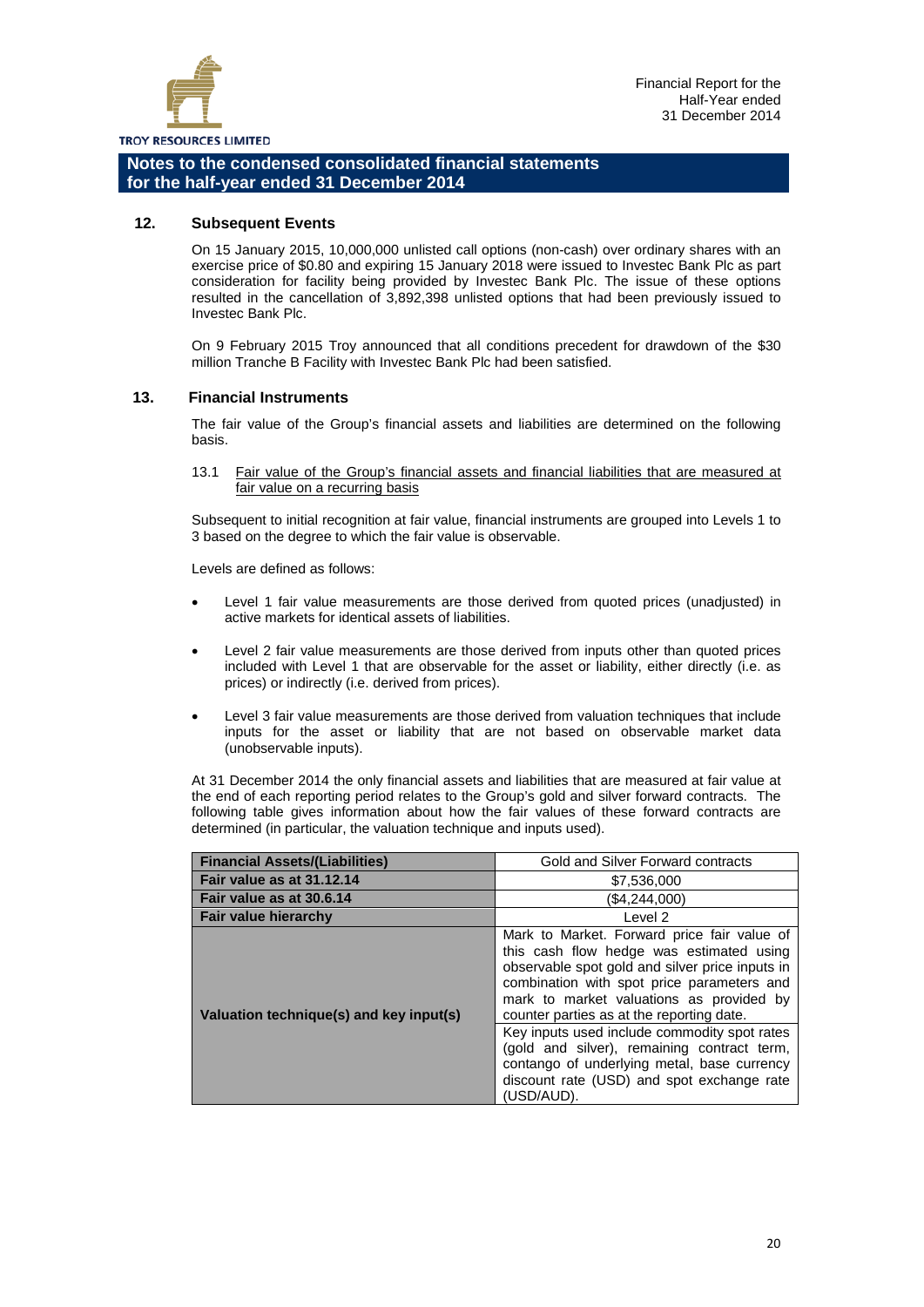

#### **12. Subsequent Events**

On 15 January 2015, 10,000,000 unlisted call options (non-cash) over ordinary shares with an exercise price of \$0.80 and expiring 15 January 2018 were issued to Investec Bank Plc as part consideration for facility being provided by Investec Bank Plc. The issue of these options resulted in the cancellation of 3,892,398 unlisted options that had been previously issued to Investec Bank Plc.

On 9 February 2015 Troy announced that all conditions precedent for drawdown of the \$30 million Tranche B Facility with Investec Bank Plc had been satisfied.

#### **13. Financial Instruments**

The fair value of the Group's financial assets and liabilities are determined on the following basis.

13.1 Fair value of the Group's financial assets and financial liabilities that are measured at fair value on a recurring basis

Subsequent to initial recognition at fair value, financial instruments are grouped into Levels 1 to 3 based on the degree to which the fair value is observable.

Levels are defined as follows:

- Level 1 fair value measurements are those derived from quoted prices (unadjusted) in active markets for identical assets of liabilities.
- Level 2 fair value measurements are those derived from inputs other than quoted prices included with Level 1 that are observable for the asset or liability, either directly (i.e. as prices) or indirectly (i.e. derived from prices).
- Level 3 fair value measurements are those derived from valuation techniques that include inputs for the asset or liability that are not based on observable market data (unobservable inputs).

At 31 December 2014 the only financial assets and liabilities that are measured at fair value at the end of each reporting period relates to the Group's gold and silver forward contracts. The following table gives information about how the fair values of these forward contracts are determined (in particular, the valuation technique and inputs used).

| <b>Financial Assets/(Liabilities)</b>   | Gold and Silver Forward contracts                                                                                                                                                                                                                                                 |  |  |
|-----------------------------------------|-----------------------------------------------------------------------------------------------------------------------------------------------------------------------------------------------------------------------------------------------------------------------------------|--|--|
| Fair value as at 31.12.14               | \$7,536,000                                                                                                                                                                                                                                                                       |  |  |
| Fair value as at 30.6.14                | (\$4,244,000)                                                                                                                                                                                                                                                                     |  |  |
| <b>Fair value hierarchy</b>             | Level 2                                                                                                                                                                                                                                                                           |  |  |
| Valuation technique(s) and key input(s) | Mark to Market. Forward price fair value of<br>this cash flow hedge was estimated using<br>observable spot gold and silver price inputs in<br>combination with spot price parameters and<br>mark to market valuations as provided by<br>counter parties as at the reporting date. |  |  |
|                                         | Key inputs used include commodity spot rates<br>(gold and silver), remaining contract term,<br>contango of underlying metal, base currency<br>discount rate (USD) and spot exchange rate<br>(USD/AUD).                                                                            |  |  |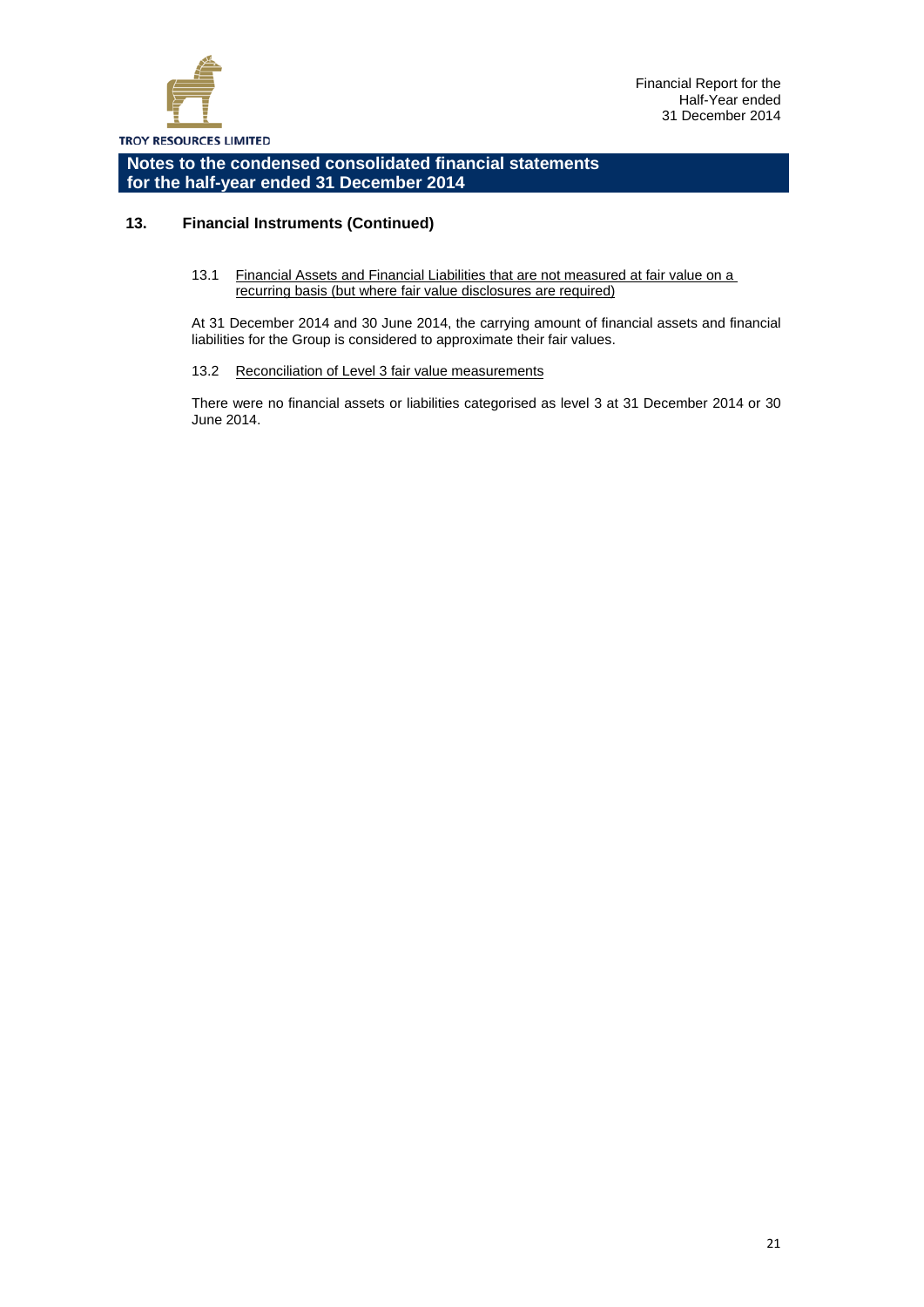

## **13. Financial Instruments (Continued)**

#### 13.1 Financial Assets and Financial Liabilities that are not measured at fair value on a recurring basis (but where fair value disclosures are required)

At 31 December 2014 and 30 June 2014, the carrying amount of financial assets and financial liabilities for the Group is considered to approximate their fair values.

#### 13.2 Reconciliation of Level 3 fair value measurements

There were no financial assets or liabilities categorised as level 3 at 31 December 2014 or 30 June 2014.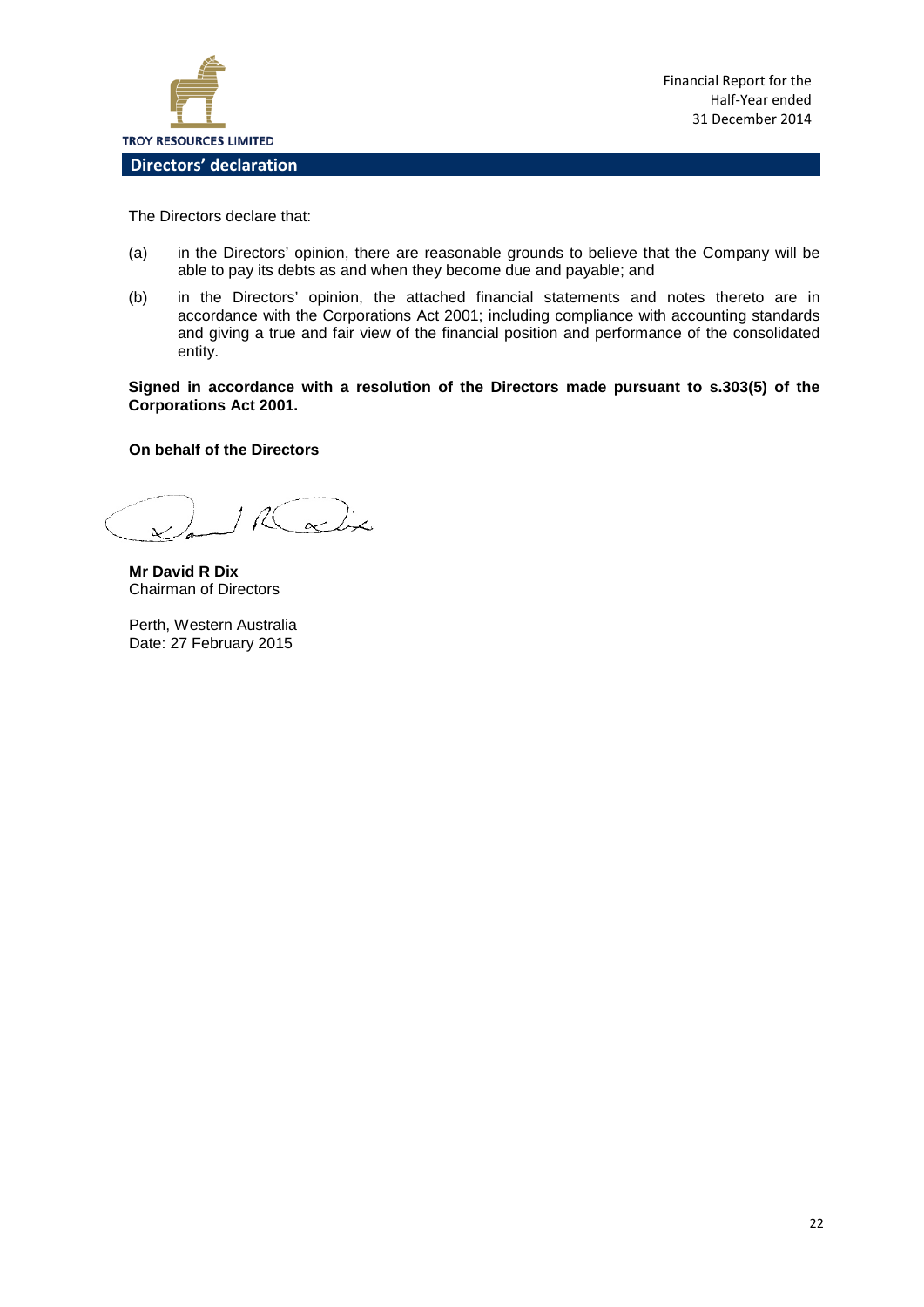

Financial Report for the Half-Year ended 31 December 2014

The Directors declare that:

- (a) in the Directors' opinion, there are reasonable grounds to believe that the Company will be able to pay its debts as and when they become due and payable; and
- (b) in the Directors' opinion, the attached financial statements and notes thereto are in accordance with the Corporations Act 2001; including compliance with accounting standards and giving a true and fair view of the financial position and performance of the consolidated entity.

**Signed in accordance with a resolution of the Directors made pursuant to s.303(5) of the Corporations Act 2001.**

#### **On behalf of the Directors**

 $\alpha$ RC

**Mr David R Dix** Chairman of Directors

Perth, Western Australia Date: 27 February 2015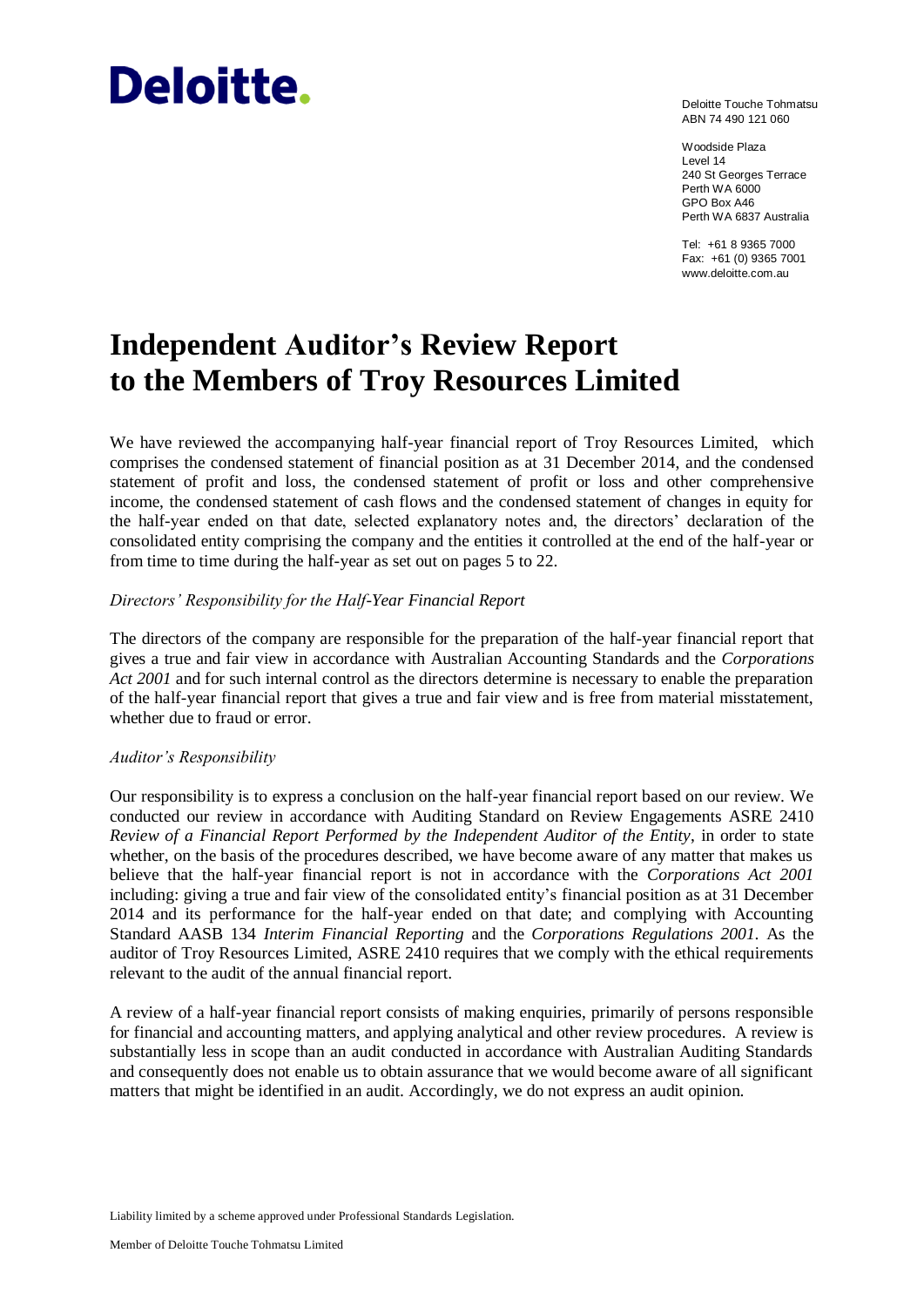# **Deloitte.**

Deloitte Touche Tohmatsu ABN 74 490 121 060

Woodside Plaza Level 14 240 St Georges Terrace Perth WA 6000 GPO Box A46 Perth WA 6837 Australia

Tel: +61 8 9365 7000 Fax: +61 (0) 9365 7001 www.deloitte.com.au

# **Independent Auditor's Review Report to the Members of Troy Resources Limited**

We have reviewed the accompanying half-year financial report of Troy Resources Limited, which comprises the condensed statement of financial position as at 31 December 2014, and the condensed statement of profit and loss, the condensed statement of profit or loss and other comprehensive income, the condensed statement of cash flows and the condensed statement of changes in equity for the half-year ended on that date, selected explanatory notes and, the directors' declaration of the consolidated entity comprising the company and the entities it controlled at the end of the half-year or from time to time during the half-year as set out on pages 5 to 22.

# *Directors' Responsibility for the Half-Year Financial Report*

The directors of the company are responsible for the preparation of the half-year financial report that gives a true and fair view in accordance with Australian Accounting Standards and the *Corporations Act 2001* and for such internal control as the directors determine is necessary to enable the preparation of the half-year financial report that gives a true and fair view and is free from material misstatement, whether due to fraud or error.

# *Auditor's Responsibility*

Our responsibility is to express a conclusion on the half-year financial report based on our review. We conducted our review in accordance with Auditing Standard on Review Engagements ASRE 2410 *Review of a Financial Report Performed by the Independent Auditor of the Entity*, in order to state whether, on the basis of the procedures described, we have become aware of any matter that makes us believe that the half-year financial report is not in accordance with the *Corporations Act 2001* including: giving a true and fair view of the consolidated entity's financial position as at 31 December 2014 and its performance for the half-year ended on that date; and complying with Accounting Standard AASB 134 *Interim Financial Reporting* and the *Corporations Regulations 2001*. As the auditor of Troy Resources Limited, ASRE 2410 requires that we comply with the ethical requirements relevant to the audit of the annual financial report.

A review of a half-year financial report consists of making enquiries, primarily of persons responsible for financial and accounting matters, and applying analytical and other review procedures. A review is substantially less in scope than an audit conducted in accordance with Australian Auditing Standards and consequently does not enable us to obtain assurance that we would become aware of all significant matters that might be identified in an audit. Accordingly, we do not express an audit opinion.

Liability limited by a scheme approved under Professional Standards Legislation.